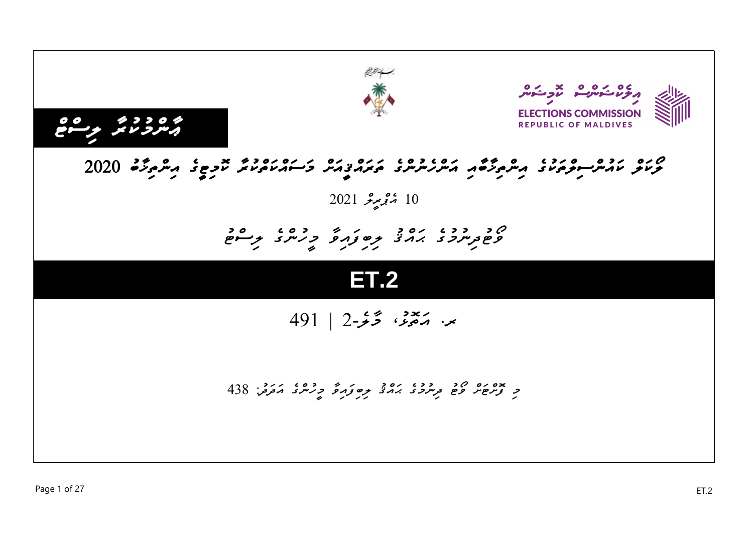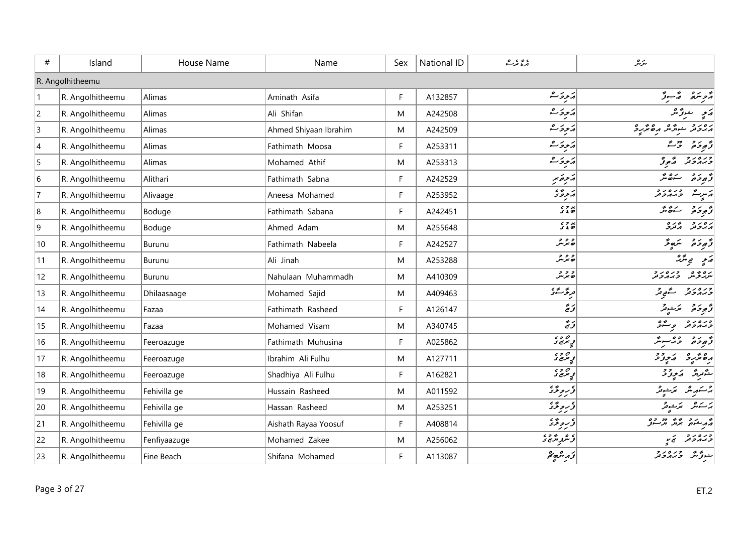| #              | Island           | House Name    | Name                  | Sex       | National ID | ېره پر شه                 | يترمثر                                                |
|----------------|------------------|---------------|-----------------------|-----------|-------------|---------------------------|-------------------------------------------------------|
|                | R. Angolhitheemu |               |                       |           |             |                           |                                                       |
|                | R. Angolhitheemu | Alimas        | Aminath Asifa         | F         | A132857     | رزویز م                   | أرمز<br>ە ئەسىرى                                      |
| $\overline{c}$ | R. Angolhitheemu | <b>Alimas</b> | Ali Shifan            | M         | A242508     | لأثربخر                   | أريمو الشوقر مكر                                      |
| 3              | R. Angolhitheemu | <b>Alimas</b> | Ahmed Shiyaan Ibrahim | M         | A242509     | لأوبخر                    | גם גד ליתית תפית כ                                    |
| $\overline{4}$ | R. Angolhitheemu | Alimas        | Fathimath Moosa       | F         | A253311     | <br> رمزیر م              | دين شهر<br>ۇ بۇ جۇ ج                                  |
| 5              | R. Angolhitheemu | <b>Alimas</b> | Mohamed Athif         | M         | A253313     | ړ <sub>پرې</sub> د        | و ره ر د<br><i>د ب</i> رگرفر<br>رچم و                 |
| $\sqrt{6}$     | R. Angolhitheemu | Alithari      | Fathimath Sabna       | F         | A242529     | وكمتوحوسر                 | سەھ بىر<br>وٌجوحهُ                                    |
| $\overline{7}$ | R. Angolhitheemu | Alivaage      | Aneesa Mohamed        | F         | A253952     | أتروح                     | ور ه ر د<br>تر پر ژنر<br>ە ئەسبەت                     |
| $\bf 8$        | R. Angolhitheemu | Boduge        | Fathimath Sabana      | F         | A242451     | پر د ی                    | ئەڭ ئىر<br>و مر د<br>تر مور می                        |
| 9              | R. Angolhitheemu | Boduge        | Ahmed Adam            | M         | A255648     | پر د ی<br>  ه ډ ک         | برەر د<br>پور ہ<br>مرکز ژ                             |
| 10             | R. Angolhitheemu | <b>Burunu</b> | Fathimath Nabeela     | F.        | A242527     | ە ئەرىر                   | وٌجو پر و<br>سرّە تَر                                 |
| 11             | R. Angolhitheemu | Burunu        | Ali Jinah             | M         | A253288     | ە جەرىر                   | أتذمي ويترك                                           |
| 12             | R. Angolhitheemu | <b>Burunu</b> | Nahulaan Muhammadh    | M         | A410309     | ە ئەرىر                   | بىرە بە ھ<br>و ره ر و<br><i>و ټ</i> ه <del>و</del> تر |
| 13             | R. Angolhitheemu | Dhilaasaage   | Mohamed Sajid         | ${\sf M}$ | A409463     | ەر ئۇرىچى                 | سنگھ قر<br>و ره ر و<br><i>د ب</i> رگرفر               |
| 14             | R. Angolhitheemu | Fazaa         | Fathimath Rasheed     | F         | A126147     | ترتج                      |                                                       |
| 15             | R. Angolhitheemu | Fazaa         | Mohamed Visam         | M         | A340745     | ترتج                      | ورەرو بەر                                             |
| 16             | R. Angolhitheemu | Feeroazuge    | Fathimath Muhusina    | F         | A025862     | و ۶ د ه<br>پي ترېځ د      | ر <sup>9</sup> 2 سەمىگە<br>ء مر د<br>ترمونرمو         |
| 17             | R. Angolhitheemu | Feeroazuge    | Ibrahim Ali Fulhu     | M         | A127711     | و ۶ د ه<br>پي ترېځ د      | أرە ئەر ئەرور                                         |
| 18             | R. Angolhitheemu | Feeroazuge    | Shadhiya Ali Fulhu    | F         | A162821     | <br>  پې ټرې <sub>ک</sub> | ڪورگر کامورگر                                         |
| 19             | R. Angolhitheemu | Fehivilla ge  | Hussain Rasheed       | M         | A011592     | ۇروڭۇ                     | رحم المراكز المركب وكر                                |
| 20             | R. Angolhitheemu | Fehivilla ge  | Hassan Rasheed        | M         | A253251     | ۇروڭۇ                     | بر کے مگر مگر مشوقہ<br>مسیح                           |
| 21             | R. Angolhitheemu | Fehivilla ge  | Aishath Rayaa Yoosuf  | F.        | A408814     | ۇروڭۇ                     | ه در د و و ده ده وه<br>مارستونو نمار ارسوز            |
| 22             | R. Angolhitheemu | Fenfiyaazuge  | Mohamed Zakee         | M         | A256062     | ۇ شرىر ئىرى               | Crose 34                                              |
| 23             | R. Angolhitheemu | Fine Beach    | Shifana Mohamed       | F         | A113087     | ترمر شھر گا               | شوژ شر 1979                                           |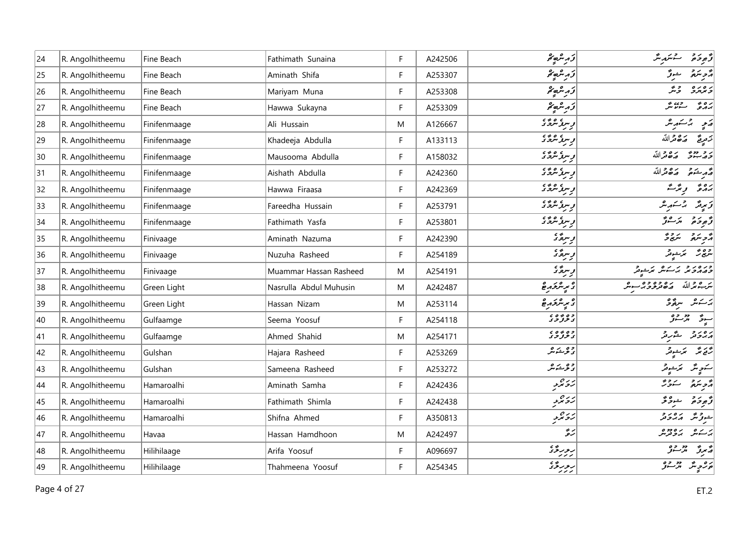| 24 | R. Angolhitheemu | Fine Beach   | Fathimath Sunaina      | $\mathsf F$ | A242506 | ئەربىر ھەم<br>                       | شە ئىكرىتر<br>و مرد<br>المجموعة<br>المسيح |
|----|------------------|--------------|------------------------|-------------|---------|--------------------------------------|-------------------------------------------|
| 25 | R. Angolhitheemu | Fine Beach   | Aminath Shifa          | $\mathsf F$ | A253307 | ترەر شھۇ                             | شورٌ<br>أأرمز                             |
| 26 | R. Angolhitheemu | Fine Beach   | Mariyam Muna           | F           | A253308 | نز مر شر <i>ه پ</i> و                | ويوره<br>ترىتر                            |
| 27 | R. Angolhitheemu | Fine Beach   | Hawwa Sukayna          | F           | A253309 | ز <sub>مر م</sub> ر <sub>حو</sub> ير | سە ئەتە يېتر<br>ر ە بە<br>برادى           |
| 28 | R. Angolhitheemu | Finifenmaage | Ali Hussain            | M           | A126667 | و سرځ شر <sup>ځ ي</sup>              | ړې برختمبر شر                             |
| 29 | R. Angolhitheemu | Finifenmaage | Khadeeja Abdulla       | F           | A133113 | و سرڈ شرچ کا                         | مَە قراللّه<br>ر<br>سماه منظم<br>من       |
| 30 | R. Angolhitheemu | Finifenmaage | Mausooma Abdulla       | F           | A158032 | ى <sub>ر س</sub> وڭرىگە ئ            | ر و دوءِ<br>وەسبور<br>برە تراللە          |
| 31 | R. Angolhitheemu | Finifenmaage | Aishath Abdulla        | $\mathsf F$ | A242360 | ار سرو مرد د                         |                                           |
| 32 | R. Angolhitheemu | Finifenmaage | Hawwa Firaasa          | F           | A242369 | په سوځ مرچ <sup>چ</sup>              | برەۋ پەرتىگە                              |
| 33 | R. Angolhitheemu | Finifenmaage | Fareedha Hussain       | $\mathsf F$ | A253791 | و سرو مرچ د                          | تو بریگر ایر شکر مگر                      |
| 34 | R. Angolhitheemu | Finifenmaage | Fathimath Yasfa        | F           | A253801 | وسوه ه د ه                           | ۇ بوخ م<br>ېر پەرتى                       |
| 35 | R. Angolhitheemu | Finivaage    | Aminath Nazuma         | $\mathsf F$ | A242390 | و سرچ <sup>ء</sup><br>تر برچ         | أروسكو<br>سرچ پی                          |
| 36 | R. Angolhitheemu | Finivaage    | Nuzuha Rasheed         | $\mathsf F$ | A254189 | وسرءٌ کا                             |                                           |
| 37 | R. Angolhitheemu | Finivaage    | Muammar Hassan Rasheed | M           | A254191 | و سرچ ی<br>تر سرچ <sub>ک</sub>       | ورەر وەركىش برىئوتر                       |
| 38 | R. Angolhitheemu | Green Light  | Nasrulla Abdul Muhusin | M           | A242487 | ە <sub>مو</sub> شرىخەرى <u>ق</u>     | ىر مى داللە ھەمىر <i>جەم بەش</i>          |
| 39 | R. Angolhitheemu | Green Light  | Hassan Nizam           | M           | A253114 | م <sub>مو</sub> شر <i>خ</i> رج       | ير سكر مستوفر                             |
| 40 | R. Angolhitheemu | Gulfaamge    | Seema Yoosuf           | F           | A254118 | وه پ <sup>ر</sup> ه بر<br>د مرتوم د  | په ده دره ورو<br>  په دره مرت             |
| 41 | R. Angolhitheemu | Gulfaamge    | Ahmed Shahid           | M           | A254171 | وه پره د<br>د ترتر تر د              | رەرو ھەرىر                                |
| 42 | R. Angolhitheemu | Gulshan      | Hajara Rasheed         | F           | A253269 | 3 مۇيىتە بىر                         | ري پر سي سر پير ديگر<br>مرگ               |
| 43 | R. Angolhitheemu | Gulshan      | Sameena Rasheed        | F           | A253272 | 3 مۇيىتەنگە                          | سكوپس الكرشونگر                           |
| 44 | R. Angolhitheemu | Hamaroalhi   | Aminath Samha          | $\mathsf F$ | A242436 | ترترجور                              | أأدبره المردوم                            |
| 45 | R. Angolhitheemu | Hamaroalhi   | Fathimath Shimla       | F           | A242438 | ئەنەتكىمىز                           | و موځ تو<br>خوڅرگر<br>ر                   |
| 46 | R. Angolhitheemu | Hamaroalhi   | Shifna Ahmed           | $\mathsf F$ | A350813 | ىر دەر<br>ش <b>ەت</b> ىرىمىيە        | جوړې پره ده.                              |
| 47 | R. Angolhitheemu | Havaa        | Hassan Hamdhoon        | M           | A242497 | رپچ                                  | ير کيمر پروژور                            |
| 48 | R. Angolhitheemu | Hilihilaage  | Arifa Yoosuf           | F           | A096697 | رىرىدۇ؟<br>رىرىر                     | دو وه<br>در سور<br>ەتىرىق                 |
| 49 | R. Angolhitheemu | Hilihilaage  | Thahmeena Yoosuf       | F           | A254345 | ر ور ژُء<br>بر د                     | ەر بەشتەر بور بەر                         |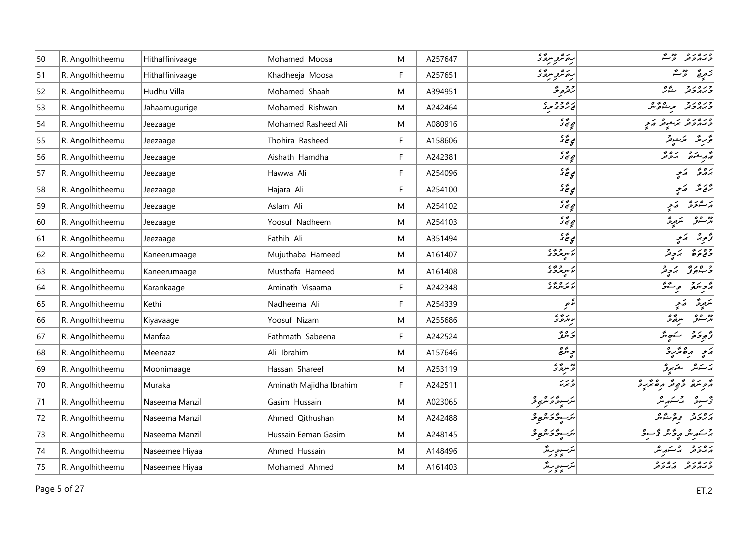| 50 | R. Angolhitheemu | Hithaffinivaage | Mohamed Moosa           | M           | A257647 | ىر <i>ئە</i> شرىر بىرى ئى            | ورەرو دور                                        |
|----|------------------|-----------------|-------------------------|-------------|---------|--------------------------------------|--------------------------------------------------|
| 51 | R. Angolhitheemu | Hithaffinivaage | Khadheeja Moosa         | F           | A257651 | رەڭروپىر <i>ۇ</i> ،                  | زَمِرِيَّ حَ°سَّہُ                               |
| 52 | R. Angolhitheemu | Hudhu Villa     | Mohamed Shaah           | M           | A394951 | 3 مۇھ <sub>و</sub> مۇ                | وره رو دوه                                       |
| 53 | R. Angolhitheemu | Jahaamugurige   | Mohamed Rishwan         | M           | A242464 | ر ۶ و و<br>بح تر <del>و</del> ۶ مرد  | ورەرو برىشۇش                                     |
| 54 | R. Angolhitheemu | Jeezaage        | Mohamed Rasheed Ali     | M           | A080916 | مچ پچ <sup>ي</sup>                   |                                                  |
| 55 | R. Angolhitheemu | Jeezaage        | Thohira Rasheed         | F.          | A158606 | ءِ ج<br>جي پ                         |                                                  |
| 56 | R. Angolhitheemu | Jeezaage        | Aishath Hamdha          | F           | A242381 | ه ۶<br>مح <sup>رم</sup> <sup>5</sup> |                                                  |
| 57 | R. Angolhitheemu | Jeezaage        | Hawwa Ali               | $\mathsf F$ | A254096 | مح پخ <sup>ی</sup>                   | برە ئەپ                                          |
| 58 | R. Angolhitheemu | Jeezaage        | Hajara Ali              | F           | A254100 | فريح تح                              | توريد<br>رقم تثر<br>ەكىر                         |
| 59 | R. Angolhitheemu | Jeezaage        | Aslam Ali               | M           | A254102 | مو پرځ<br>  حو پرځ                   | برعبوه<br>رځمني                                  |
| 60 | R. Angolhitheemu | Jeezaage        | Yoosuf Nadheem          | M           | A254103 | مح پخ <sup>ی</sup>                   | دد و ه<br>در سور                                 |
| 61 | R. Angolhitheemu | Jeezaage        | Fathih Ali              | M           | A351494 | مح پخ <sup>ی</sup>                   | وً مع الأمر                                      |
| 62 | R. Angolhitheemu | Kaneerumaage    | Mujuthaba Hameed        | M           | A161407 | ئەسر پر دى                           | وه ده نه در د                                    |
| 63 | R. Angolhitheemu | Kaneerumaage    | Musthafa Hameed         | M           | A161408 | ر<br>رأ سر پر ژ د                    | ومبوق بروتر                                      |
| 64 | R. Angolhitheemu | Karankaage      | Aminath Visaama         | $\mathsf F$ | A242348 | ر ره و د<br>ما <del>ب</del> رمردا د  | $rac{22}{3^{2}-2^{2}}$                           |
| 65 | R. Angolhitheemu | Kethi           | Nadheema Ali            | F           | A254339 | ء<br>موھ                             | ىئەرچە<br>سىرچە<br>ەكمىي                         |
| 66 | R. Angolhitheemu | Kiyavaage       | Yoosuf Nizam            | M           | A255686 | ر بر پر پر<br>ر                      | لار ده<br>سرچو                                   |
| 67 | R. Angolhitheemu | Manfaa          | Fathmath Sabeena        | F           | A242524 | ىز شرىچە                             | و مر د<br>ترج د م<br>سەھەتىر                     |
| 68 | R. Angolhitheemu | Meenaaz         | Ali Ibrahim             | M           | A157646 | حريثرهم                              | ړې ره ټرو                                        |
| 69 | R. Angolhitheemu | Moonimaage      | Hassan Shareef          | ${\sf M}$   | A253119 | ود پرځ ی<br>د سرچ <sub>ک</sub>       | يَرْسَشْ خَمَيْرِوْ                              |
| 70 | R. Angolhitheemu | Muraka          | Aminath Majidha Ibrahim | $\mathsf F$ | A242511 | ويرز                                 | أأوسم وتحفظ معتمر                                |
| 71 | R. Angolhitheemu | Naseema Manzil  | Gasim Hussain           | M           | A023065 | ىئە پەيزىق قىيدى <del>م</del>        | تخ سوط بر شمر میں                                |
| 72 | R. Angolhitheemu | Naseema Manzil  | Ahmed Qithushan         | ${\sf M}$   | A242488 | ىئەسى <i>ر ئەڭ ش</i> ېر قە           | رەرد تومۇشگىر                                    |
| 73 | R. Angolhitheemu | Naseema Manzil  | Hussain Eeman Gasim     | M           | A248145 | بىز يېزىقى ۋ                         | رىس<br>رىسكىرىنگە بەرگەنگە كۆلسۈم                |
| 74 | R. Angolhitheemu | Naseemee Hiyaa  | Ahmed Hussain           | M           | A148496 | ىئەسىزىرىدىگە<br>ئەمۇرىدى            | رەرو جەمئىر                                      |
| 75 | R. Angolhitheemu | Naseemee Hiyaa  | Mohamed Ahmed           | M           | A161403 | ىئەسىزىرىدىگە<br>ئەسىرىدىن           | ورەر دەرد<br><i>دىد</i> ەردى <sub>ر</sub> مەردىر |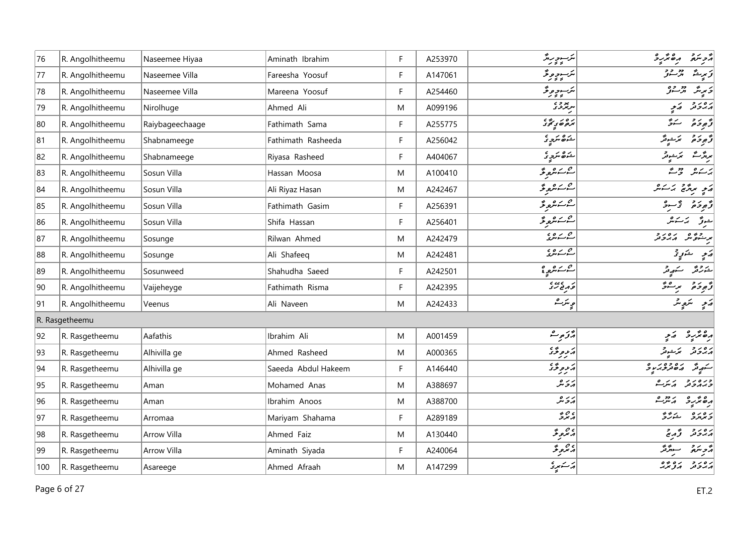| 76           | R. Angolhitheemu | Naseemee Hiyaa     | Aminath Ibrahim     | F         | A253970 | ىئەسىزىرىدۇ.<br>مەسىم ئىسىم    | ە ھەمەر 2<br>بەھەمەر 2<br>أروسي                       |
|--------------|------------------|--------------------|---------------------|-----------|---------|--------------------------------|-------------------------------------------------------|
| 77           | R. Angolhitheemu | Naseemee Villa     | Fareesha Yoosuf     | F         | A147061 | ىئرسوچە بۇ                     | دد به دیز<br> توسيستة                                 |
| 78           | R. Angolhitheemu | Naseemee Villa     | Mareena Yoosuf      | F         | A254460 | ىئەسوچە بۇ                     | ىز بېرىتىر<br>م<br>دد و ه<br>در سور                   |
| 79           | R. Angolhitheemu | Nirolhuge          | Ahmed Ali           | M         | A099196 | پر و د<br>سرپرلو <sub>ک</sub>  | رەرد كەي                                              |
| 80           | R. Angolhitheemu | Raiybageechaage    | Fathimath Sama      | F         | A255775 | <br>  پره ه <sub>مح</sub> په د | ستریح<br>و مرد<br>ترجو حرم                            |
| 81           | R. Angolhitheemu | Shabnameege        | Fathimath Rasheeda  | F         | A256042 | ے ک <i>ے سرح ک</i>             | ۇم ئەھ ئىشىقە                                         |
| 82           | R. Angolhitheemu | Shabnameege        | Riyasa Rasheed      | F         | A404067 | ے ک <i>ے سرح ک</i>             | <br>  بروژ کے   برے وز                                |
| 83           | R. Angolhitheemu | Sosun Villa        | Hassan Moosa        | ${\sf M}$ | A100410 | <u>مەسەبىرى ئ</u>              | ير کے مراج میں ایک ا                                  |
| 84           | R. Angolhitheemu | Sosun Villa        | Ali Riyaz Hasan     | ${\sf M}$ | A242467 | استشفرة                        | أوسم بروزج وكالمرهر                                   |
| 85           | R. Angolhitheemu | Sosun Villa        | Fathimath Gasim     | F         | A256391 | <u>م ئەشرو ئە</u>              | وَجودة وَي                                            |
| 86           | R. Angolhitheemu | Sosun Villa        | Shifa Hassan        | F         | A256401 | استوستقرة                      | ى <u>سىرگە كەسكەنل</u>                                |
| 87           | R. Angolhitheemu | Sosunge            | Rilwan Ahmed        | ${\sf M}$ | A242479 | <u>م ئەيدى ئى</u>              | برجع مدورد                                            |
| 88           | R. Angolhitheemu | Sosunge            | Ali Shafeeq         | ${\sf M}$ | A242481 | <u>مى ئەيدى</u>                |                                                       |
| 89           | R. Angolhitheemu | Sosunweed          | Shahudha Saeed      | F         | A242501 | الشرسقير                       | كاموا الشكورة<br>أماموا الشكورة<br>الشكورندان الشكورة |
| $ 90\rangle$ | R. Angolhitheemu | Vaijeheyge         | Fathimath Risma     | F         | A242395 | ر<br>تو در ج رئ                | $rac{1}{2}$                                           |
| 91           | R. Angolhitheemu | Veenus             | Ali Naveen          | ${\sf M}$ | A242433 | <sub>حو</sub> سرے              | أوسمع يتمع يتمر                                       |
|              | R. Rasgetheemu   |                    |                     |           |         |                                |                                                       |
| 92           | R. Rasgetheemu   | Aafathis           | Ibrahim Ali         | ${\sf M}$ | A001459 | پژومو مشر                      | رەپرىي كېر                                            |
| 93           | R. Rasgetheemu   | Alhivilla ge       | Ahmed Rasheed       | ${\sf M}$ | A000365 | <br> پر یو یو تو ی             |                                                       |
| 94           | R. Rasgetheemu   | Alhivilla ge       | Saeeda Abdul Hakeem | F         | A146440 | <br>  مرعوقری                  | רס כס ג'ון כ<br>سکوپەتگر                              |
| 95           | R. Rasgetheemu   | Aman               | Mohamed Anas        | ${\sf M}$ | A388697 | برىر ھ                         | و ر ە ر و<br><i>و بر</i> پر تر                        |
| 96           | R. Rasgetheemu   | Aman               | Ibrahim Anoos       | M         | A388700 | برىر ھ                         | برجزعه<br>ەر ھەئرىر 2<br>ر                            |
| 97           | R. Rasgetheemu   | Arromaa            | Mariyam Shahama     | F         | A289189 | ء ۾ ءِ<br> م بريز              | ر ه ر ه<br><del>د</del> بربرو<br>شەرىج                |
| 98           | R. Rasgetheemu   | <b>Arrow Villa</b> | Ahmed Faiz          | ${\sf M}$ | A130440 | لمرعر ومحر                     | تۇ مەتج<br>بروژ تر                                    |
| 99           | R. Rasgetheemu   | <b>Arrow Villa</b> | Aminath Siyada      | F         | A240064 | لمرتجر قر                      | ومحر سنرقد                                            |
| 100          | R. Rasgetheemu   | Asareege           | Ahmed Afraah        | ${\sf M}$ | A147299 | ېر کے پی <sub>و</sub> ی<br>په  | גם גם גם בם<br>הגבה הציגה                             |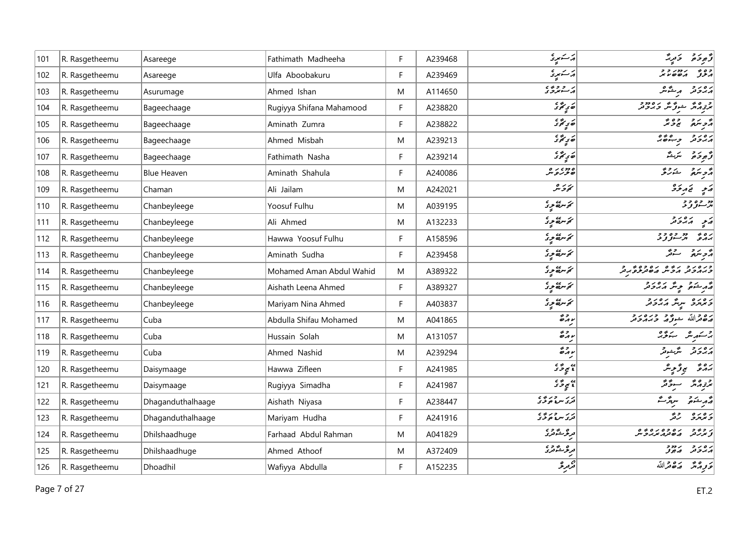| 101 | R. Rasgetheemu | Asareege           | Fathimath Madheeha       | F           | A239468 | ېز سەئىي <sub>د</sub> ى<br>ئ                                  | و و د و درگ                                             |
|-----|----------------|--------------------|--------------------------|-------------|---------|---------------------------------------------------------------|---------------------------------------------------------|
| 102 | R. Rasgetheemu | Asareege           | Ulfa Aboobakuru          | F           | A239469 | ېز س <sup>ت</sup> ومبر <sup>ي</sup>                           | لروء<br>77/77/                                          |
| 103 | R. Rasgetheemu | Asurumage          | Ahmed Ishan              | M           | A114650 | ر د د و و و<br>پرستوبو د                                      | أرەر دېم مەشكى                                          |
| 104 | R. Rasgetheemu | Bageechaage        | Rugiyya Shifana Mahamood | F           | A238820 | ے پر پڑے<br>                                                  | و وه شور ده دود و<br>مرد مگر شور کرد و بر               |
| 105 | R. Rasgetheemu | Bageechaage        | Aminath Zumra            | F           | A238822 | <br>  ته پر گري                                               | أأروسكم بمحتر                                           |
| 106 | R. Rasgetheemu | Bageechaage        | Ahmed Misbah             | M           | A239213 | ر په دي.<br>په نړۍ                                            | بر ه بر د<br>م.پر <del>د</del> تر<br>وجهض               |
| 107 | R. Rasgetheemu | Bageechaage        | Fathimath Nasha          | F           | A239214 | ر دي.<br>ه د گرد                                              | وَّأُمُّ حَرَمٌ مَرَسَّمٌ                               |
| 108 | R. Rasgetheemu | <b>Blue Heaven</b> | Aminath Shahula          | F           | A240086 | ه دد ، ر ه<br><i>ه ور و</i> س                                 |                                                         |
| 109 | R. Rasgetheemu | Chaman             | Ali Jailam               | M           | A242021 | ىمەترىش                                                       |                                                         |
| 110 | R. Rasgetheemu | Chanbeyleege       | Yoosuf Fulhu             | M           | A039195 | كأسكة وكا                                                     | دد به دو د<br>مرسور د د                                 |
| 111 | R. Rasgetheemu | Chanbeyleege       | Ali Ahmed                | M           | A132233 | كأسكة وكا                                                     | أە ئەرەرد                                               |
| 112 | R. Rasgetheemu | Chanbeyleege       | Hawwa Yoosuf Fulhu       | F           | A158596 | كوس تقوي                                                      | بره به دو وه و و<br>بردري اور سوتونو لمر                |
| 113 | R. Rasgetheemu | Chanbeyleege       | Aminath Sudha            | $\mathsf F$ | A239458 | كوسكة وء                                                      | ړې سره د سرور                                           |
| 114 | R. Rasgetheemu | Chanbeyleege       | Mohamed Aman Abdul Wahid | M           | A389322 | كوستقرير                                                      | כנסנכ נשם נסכם ש<br>כמהכת הכית השתיפתית                 |
| 115 | R. Rasgetheemu | Chanbeyleege       | Aishath Leena Ahmed      | F           | A389327 | ى<br>كۆس <sub>تە ت</sub> ور                                   | م مستوفر بالمراكب المركب والمراكب                       |
| 116 | R. Rasgetheemu | Chanbeyleege       | Mariyam Nina Ahmed       | F           | A403837 | كوسكة وتح                                                     | ر وره سرگر مرد و<br>د بر گرفته مرکز د                   |
| 117 | R. Rasgetheemu | Cuba               | Abdulla Shifau Mohamed   | M           | A041865 | $\overset{\circ}{\mathscr{E}}\overset{\circ}{\mathscr{N}}\nu$ | رە داللە خوگە دىرەرد                                    |
| 118 | R. Rasgetheemu | Cuba               | Hussain Solah            | M           | A131057 | ىدرى                                                          | چە سەر سىدى.<br>مەربىر                                  |
| 119 | R. Rasgetheemu | Cuba               | Ahmed Nashid             | M           | A239294 | $\overset{\circ}{\mathscr{E}}\overset{\circ}{\mathscr{N}}\nu$ | رەرد شەدر<br>مەردىر شەدر                                |
| 120 | R. Rasgetheemu | Daisymaage         | Hawwa Zifleen            | F           | A241985 | ر<br>پانگ پی تر <sub>ک</sub>                                  | برەۋ بىر ۋېر                                            |
| 121 | R. Rasgetheemu | Daisymaage         | Rugiyya Simadha          | $\mathsf F$ | A241987 | ر<br>پانا سچ پر <sub>ک</sub>                                  | مرتور پر سوچر                                           |
| 122 | R. Rasgetheemu | Dhaganduthalhaage  | Aishath Niyasa           | $\mathsf F$ | A238447 | ر ر په د د په<br>تر کسره کار ک                                | أقرم شكوته المسترك                                      |
| 123 | R. Rasgetheemu | Dhaganduthalhaage  | Mariyam Hudha            | E           | A241916 | ر ر په د د په<br>تر کسره کلونو ک                              | ر ہ رہ ۔<br>تر <i>بر</i> برڈ کرگر                       |
| 124 | R. Rasgetheemu | Dhilshaadhuge      | Farhaad Abdul Rahman     | M           | A041829 | ترنو شگ <sup>و</sup> تر <sup>2</sup>                          | ر ه وه ر ه د ه<br>پره تربر برر تر س<br>ۇ ئرگەتر         |
| 125 | R. Rasgetheemu | Dhilshaadhuge      | Ahmed Athoof             | M           | A372409 | و ه ه <sup>و و</sup> ۶                                        | بر 2 پر ج<br>مربر <del>5</del> فر<br>ر دو د<br>در جو تر |
| 126 | R. Rasgetheemu | Dhoadhil           | Wafiyya Abdulla          | $\mathsf F$ | A152235 | قرمرى                                                         | عروشر مكافي الله                                        |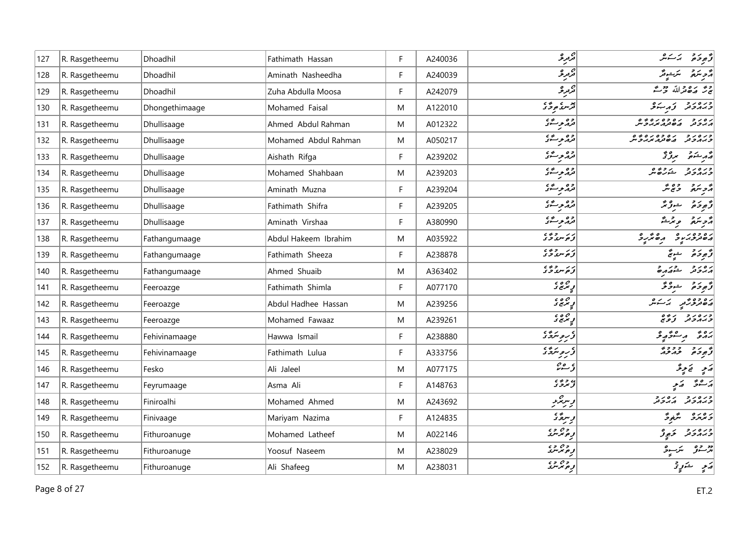| 127 | R. Rasgetheemu | Dhoadhil       | Fathimath Hassan     | F           | A240036 | ە<br>ترىرى <sup>3</sup>                      | قوم من من                                                      |
|-----|----------------|----------------|----------------------|-------------|---------|----------------------------------------------|----------------------------------------------------------------|
| 128 | R. Rasgetheemu | Dhoadhil       | Aminath Nasheedha    | F           | A240039 | قرمرى                                        | أأأدح مكرة المستكر والأراد                                     |
| 129 | R. Rasgetheemu | Dhoadhil       | Zuha Abdulla Moosa   | $\mathsf F$ | A242079 | قرمرى                                        | ج محر محدد الله حق                                             |
| 130 | R. Rasgetheemu | Dhongethimaage | Mohamed Faisal       | M           | A122010 | بر<br>قرسر گوچر                              | ورەرو زەب ك                                                    |
| 131 | R. Rasgetheemu | Dhullisaage    | Ahmed Abdul Rahman   | M           | A012322 | قرۇ موسىمى<br>قىرە م                         | ر ه وه ر ه د ه<br>پره تربر <i>بربر 5</i> س                     |
| 132 | R. Rasgetheemu | Dhullisaage    | Mohamed Abdul Rahman | M           | A050217 | وه <sub>مر</sub> ور محمد کار<br>مرد مر       | ر ه د ه د ه د ه<br>پره تر پر تر تر<br>و ره ر و<br>د بر د تر تر |
| 133 | R. Rasgetheemu | Dhullisaage    | Aishath Rifga        | F           | A239202 | وه د مرگړي<br>مربر مرگ                       | د از شکوه مرکز تر                                              |
| 134 | R. Rasgetheemu | Dhullisaage    | Mohamed Shahbaan     | M           | A239203 | وه پر پرې<br>مر <sub>م</sub> ر پر            | شەرج ش<br>و رە ر د<br><i>د بر</i> گرىر                         |
| 135 | R. Rasgetheemu | Dhullisaage    | Aminath Muzna        | F           | A239204 | وه <sub>مر</sub> گريم                        | أثربر مرد<br>ح می مگر                                          |
| 136 | R. Rasgetheemu | Dhullisaage    | Fathimath Shifra     | F           | A239205 | وه د مرگز<br>مرد د سگو                       | ژ <sub>ېوخ</sub> و <sub>شو</sub> ژبر                           |
| 137 | R. Rasgetheemu | Dhullisaage    | Aminath Virshaa      | F           | A380990 | وه <sub>مر</sub> پر محمد                     | أرجاسهم وترثأ                                                  |
| 138 | R. Rasgetheemu | Fathangumaage  | Abdul Hakeem Ibrahim | M           | A035922 | ر ر د و د ،<br><mark>ز</mark> بر رو د د      | دە ئەرى<br>ره وه ر<br>په څرمربر د                              |
| 139 | R. Rasgetheemu | Fathangumaage  | Fathimath Sheeza     | F           | A238878 | ر ر د ده ،<br>زه سد ژ د                      | وٌجوحَهُ شبِعٌ                                                 |
| 140 | R. Rasgetheemu | Fathangumaage  | Ahmed Shuaib         | M           | A363402 | ر ر د ده د<br>زه سد ژ د                      | ر ه ر د<br>پر ژونر<br>$5.2 - 7.7$                              |
| 141 | R. Rasgetheemu | Feeroazge      | Fathimath Shimla     | F           | A077170 | و چې د ،<br>پ <sub>ړ</sub> ندې د             | ۇپروڭ ئىروگ                                                    |
| 142 | R. Rasgetheemu | Feeroazge      | Abdul Hadhee Hassan  | M           | A239256 | ه ۵ ۵ و <sup>ء</sup><br>و مربع د             | رە دەپر ئەسكىر                                                 |
| 143 | R. Rasgetheemu | Feeroazge      | Mohamed Fawaaz       | M           | A239261 | و ۵ ۵ و <sup>ء</sup><br>پ <sub>و</sub> ټرې د | وره روه دره<br>وبرمرونر نوعر                                   |
| 144 | R. Rasgetheemu | Fehivinamaage  | Hawwa Ismail         | F           | A238880 | نې<br>لوره مرد د                             | برە ئەستەھ ئو                                                  |
| 145 | R. Rasgetheemu | Fehivinamaage  | Fathimath Lulua      | F           | A333756 | أوره يزوي                                    | وددير<br>ۇ بۇ جۇ ج                                             |
| 146 | R. Rasgetheemu | Fesko          | Ali Jaleel           | ${\sf M}$   | A077175 | ۇپ                                           | ړې د کارو                                                      |
| 147 | R. Rasgetheemu | Feyrumaage     | Asma Ali             | $\mathsf F$ | A148763 | در و در د<br>تو بور <del>ت</del> ر و         | أربعتي أربحي                                                   |
| 148 | R. Rasgetheemu | Finiroalhi     | Mohamed Ahmed        | M           | A243692 | وسرچر                                        | כנסנכ נסנכ<br>כגמכנ הגבנג                                      |
| 149 | R. Rasgetheemu | Finivaage      | Mariyam Nazima       | F           | A124835 | وسرچ                                         | ر ه ر ه<br>سَّرْهُ رَّ                                         |
| 150 | R. Rasgetheemu | Fithuroanuge   | Mohamed Latheef      | M           | A022146 | وه وه وه                                     | و ره ر و<br><i>و ټ</i> رگر تر<br>ځږوژ                          |
| 151 | R. Rasgetheemu | Fithuroanuge   | Yoosuf Naseem        | M           | A238029 | وه وه<br>د وړين                              | دو و ه<br>در سور<br>ىئرسەۋ                                     |
| 152 | R. Rasgetheemu | Fithuroanuge   | Ali Shafeeg          | M           | A238031 | وه وه<br>د و نرمر                            | أركمني المستكورة                                               |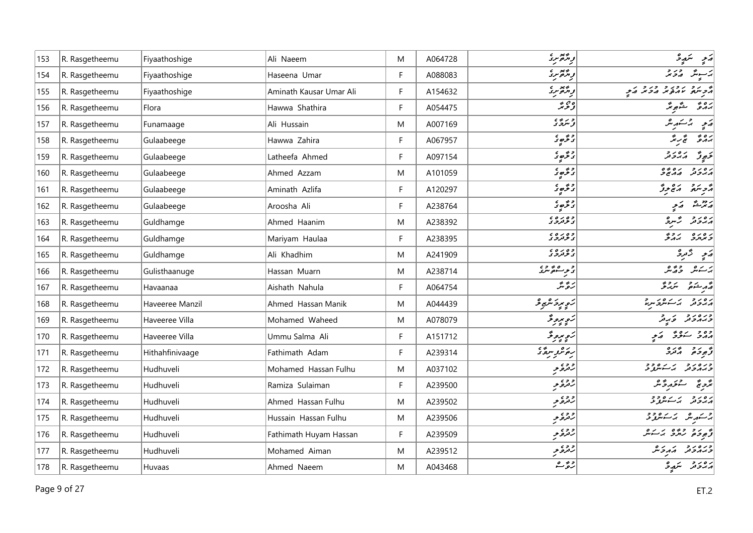| 153 | R. Rasgetheemu | Fiyaathoshige   | Ali Naeem               | M  | A064728 | و پژ <sub>یخ مر</sub> با<br>گر پژی | سكەچە<br>ړې<br>په                                                                   |
|-----|----------------|-----------------|-------------------------|----|---------|------------------------------------|-------------------------------------------------------------------------------------|
| 154 | R. Rasgetheemu | Fiyaathoshige   | Haseena Umar            | F. | A088083 | و پھر ہ<br>پر مربوری               | ر<br>رسامگر اور در                                                                  |
| 155 | R. Rasgetheemu | Fiyaathoshiqe   | Aminath Kausar Umar Ali | F. | A154632 | و پژ <sub>یخ مر</sub> بح           | הכיתם והפני כניב הב                                                                 |
| 156 | R. Rasgetheemu | Flora           | Hawwa Shathira          | F  | A054475 | اوم پڑ                             |                                                                                     |
| 157 | R. Rasgetheemu | Funamaage       | Ali Hussain             | M  | A007169 | و ر د د<br>توسرچ د                 | أوسم بالمستمريكر                                                                    |
| 158 | R. Rasgetheemu | Gulaabeege      | Hawwa Zahira            | F  | A067957 | د و ه<br>د ژه د                    | $\stackrel{2}{\sim}$ $\stackrel{2}{\sim}$ $\stackrel{2}{\sim}$ $\stackrel{2}{\sim}$ |
| 159 | R. Rasgetheemu | Gulaabeege      | Latheefa Ahmed          | F  | A097154 | و و هو ء<br>  د څرچ د              |                                                                                     |
| 160 | R. Rasgetheemu | Gulaabeege      | Ahmed Azzam             | M  | A101059 | د و ه<br>د گره د                   | بر ٥ پر و<br>مربر <del>و</del> تر<br>5201                                           |
| 161 | R. Rasgetheemu | Gulaabeege      | Aminath Azlifa          | F  | A120297 | د څه د                             | أرمز<br>پر ج موتر                                                                   |
| 162 | R. Rasgetheemu | Gulaabeege      | Aroosha Ali             | F  | A238764 | د و ه<br>د ژه د                    | پر دو په<br>د تنر شگ<br>ەكمىيە                                                      |
| 163 | R. Rasgetheemu | Guldhamge       | Ahmed Haanim            | M  | A238392 | و ه ر ه ،<br>د نوترو د             | ترسره<br>بر ه بر د<br>م <i>ر</i> بر <del>د</del> ر                                  |
| 164 | R. Rasgetheemu | Guldhamge       | Mariyam Haulaa          | F  | A238395 | و ه ر ه ،<br>د نوترو د             | بروبو<br>ر ه ر ه<br><del>د</del> بربرگر                                             |
| 165 | R. Rasgetheemu | Guldhamge       | Ali Khadhim             | M  | A241909 | و ه ر ه ،<br>د نوترو د             | پَه په په په پ                                                                      |
| 166 | R. Rasgetheemu | Gulisthaanuge   | Hassan Muarn            | M  | A238714 | د پرېشمورۍ<br>  د پرېشمورۍ         | ير کے شہر اور اس                                                                    |
| 167 | R. Rasgetheemu | Havaanaa        | Aishath Nahula          | F  | A064754 | ىر ئەمە<br>سىرىگە                  | وكرم شكوم المتركز                                                                   |
| 168 | R. Rasgetheemu | Haveeree Manzil | Ahmed Hassan Manik      | M  | A044439 | ئەمەيە ئەمىي قى                    | גם גם גם הפריינים                                                                   |
| 169 | R. Rasgetheemu | Haveeree Villa  | Mohamed Waheed          | M  | A078079 | ر<br>ئوپېرو م <sup>و</sup>         | وره رو در و                                                                         |
| 170 | R. Rasgetheemu | Haveeree Villa  | Ummu Salma Ali          | F. | A151712 | ر <sub>َءِ موءِ مَرَّ</sub>        | دەد رەپ كەير                                                                        |
| 171 | R. Rasgetheemu | Hithahfinivaage | Fathimath Adam          | F. | A239314 | رەڭروپىر <i>ە</i> ئ                | أقهوم والمحده                                                                       |
| 172 | R. Rasgetheemu | Hudhuveli       | Mohamed Hassan Fulhu    | M  | A037102 | روء پر                             | وره رو در بر دوو<br><i>وبروونو بر س</i> ور                                          |
| 173 | R. Rasgetheemu | Hudhuveli       | Ramiza Sulaiman         | F  | A239500 | روء پر                             | برولج سنخبر وممر                                                                    |
| 174 | R. Rasgetheemu | Hudhuveli       | Ahmed Hassan Fulhu      | M  | A239502 | ژنوعر                              | رەرد بەسەردد                                                                        |
| 175 | R. Rasgetheemu | Hudhuveli       | Hussain Hassan Fulhu    | M  | A239506 | و و ه<br>  رتىرە م                 | چە سەمەھرىمى بەر سەھرىمى                                                            |
| 176 | R. Rasgetheemu | Hudhuveli       | Fathimath Huyam Hassan  | F  | A239509 | و و ،<br>رتوغ م                    | و در دوه در ده                                                                      |
| 177 | R. Rasgetheemu | Hudhuveli       | Mohamed Aiman           | M  | A239512 | روء پر                             |                                                                                     |
| 178 | R. Rasgetheemu | Huvaas          | Ahmed Naeem             | M  | A043468 | ر پۇ ب                             | أرەر ئەرۋە ئىر                                                                      |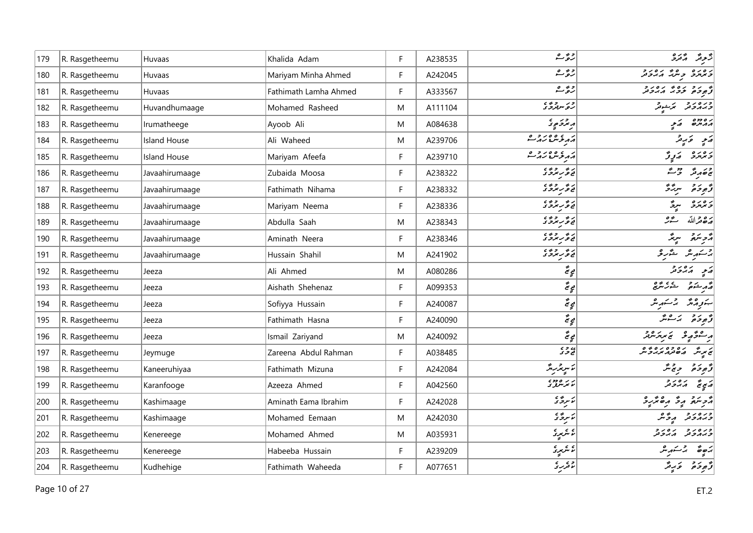| 179 | R. Rasgetheemu | Huvaas              | Khalida Adam          | F  | A238535 | ر پۇ ھ                                      | رَّحِيَّرَ الْمُعَرَّدُ                        |
|-----|----------------|---------------------|-----------------------|----|---------|---------------------------------------------|------------------------------------------------|
| 180 | R. Rasgetheemu | Huvaas              | Mariyam Minha Ahmed   | F. | A242045 | ر پۇ شە                                     | נ סנס - ספי נסנד<br>בינו <i>ת ב</i> ינג' ג'יבע |
| 181 | R. Rasgetheemu | Huvaas              | Fathimath Lamha Ahmed | F. | A333567 | حە ئەھمە                                    | و دو ره دره در د                               |
| 182 | R. Rasgetheemu | Huvandhumaage       | Mohamed Rasheed       | M  | A111104 | و ر په و ده پر<br>رن سربرو د                | ورەرو كەشەتر                                   |
| 183 | R. Rasgetheemu | Irumatheege         | Ayoob Ali             | M  | A084638 | پر ټر ځرمو ځ<br>                            | ג ם בבם<br>ההתיים<br>ەتىر                      |
| 184 | R. Rasgetheemu | <b>Island House</b> | Ali Waheed            | M  | A239706 | ىر مۇسى ئەرمىيە<br>مەمرىسى ئىم              | أەسمج الحاسر و                                 |
| 185 | R. Rasgetheemu | <b>Island House</b> | Mariyam Afeefa        | F  | A239710 | ىر بە ھەر جەم 2                             | ر ه ر ه<br>ەردۇ                                |
| 186 | R. Rasgetheemu | Javaahirumaage      | Zubaida Moosa         | F  | A238322 | ر څر برڅ د<br>  نو ځر برڅ د                 | ديسته<br>ور<br>مح ھەرقە                        |
| 187 | R. Rasgetheemu | Javaahirumaage      | Fathimath Nihama      | F  | A238332 | ئەڭرىر ئەي                                  | و مر د<br>تر مور می<br>سربر                    |
| 188 | R. Rasgetheemu | Javaahirumaage      | Mariyam Neema         | F. | A238336 | ریم رچ وي<br>  بع ځو سرچ د                  | ر ه ر ه<br><del>و</del> بربرو<br>سرچ           |
| 189 | R. Rasgetheemu | Javaahirumaage      | Abdulla Saah          | M  | A238343 | پر څر پر چري                                | رمعيمته<br>بر25 اللّه                          |
| 190 | R. Rasgetheemu | Javaahirumaage      | Aminath Neera         | F  | A238346 | پر څر پر چري<br>  پر ځر پر چر <sub>چر</sub> | سرچر<br>أرمر وسرة                              |
| 191 | R. Rasgetheemu | Javaahirumaage      | Hussain Shahil        | M  | A241902 | پر څر پر چري<br>  مح کمر پر چر <sub>چ</sub> | چەسىر بىر ئىشىربۇ                              |
| 192 | R. Rasgetheemu | Jeeza               | Ali Ahmed             | M  | A080286 | يم مج<br>حي                                 | أقدم المردور                                   |
| 193 | R. Rasgetheemu | Jeeza               | Aishath Shehenaz      | F  | A099353 | ي <sub>ج</sub> ججّ                          | مەر ئىسىم ئىسىمى ئىسىم<br>مەر شىر ئىس          |
| 194 | R. Rasgetheemu | Jeeza               | Sofiyya Hussain       | F. | A240087 | ي<br>محي                                    | سكوره محر محر شكر مثر                          |
| 195 | R. Rasgetheemu | Jeeza               | Fathimath Hasna       | F. | A240090 | م<br>مح                                     | ۋە ئەم ئەسىر                                   |
| 196 | R. Rasgetheemu | Jeeza               | Ismail Zariyand       | M  | A240092 | مح محّ                                      | وكوحم وفي تم مركز مرقر                         |
| 197 | R. Rasgetheemu | Jeymuge             | Zareena Abdul Rahman  | F  | A038485 | ر د د د د کا<br>  قع نژ ک                   | ره وه ره ده<br>په ه تر پر بر رس<br>ئے میریٹر   |
| 198 | R. Rasgetheemu | Kaneeruhiyaa        | Fathimath Mizuna      | F  | A242084 | مَاسِيعْرَ سِرْدَّ                          | ۇي <sub>م</sub> ودۇ <sub>جا</sub> چىگە         |
| 199 | R. Rasgetheemu | Karanfooge          | Azeeza Ahmed          | F  | A042560 | ر ر ۲۵۵<br>را بر مرو د                      | ړې پره ده                                      |
| 200 | R. Rasgetheemu | Kashimaage          | Aminath Eama Ibrahim  | F  | A242028 | ر<br>ئەبرىرى                                | הבית הב הפיתיב                                 |
| 201 | R. Rasgetheemu | Kashimaage          | Mohamed Eemaan        | M  | A242030 | ر<br>ماسرچۍ                                 | ورەرو رۇپر                                     |
| 202 | R. Rasgetheemu | Kenereege           | Mohamed Ahmed         | M  | A035931 | ى ئىرىرى<br>ما مىرىپرى                      | כנסנכ נסנכ<br>כגמכ <mark>נג ה</mark> גכנג      |
| 203 | R. Rasgetheemu | Kenereege           | Habeeba Hussain       | F. | A239209 | ع مثر پر <sup>ج</sup>                       | برَهة برسكربر                                  |
| 204 | R. Rasgetheemu | Kudhehige           | Fathimath Waheeda     | F  | A077651 | د ۽<br>مافرسري                              | توجوجهم الحاباني                               |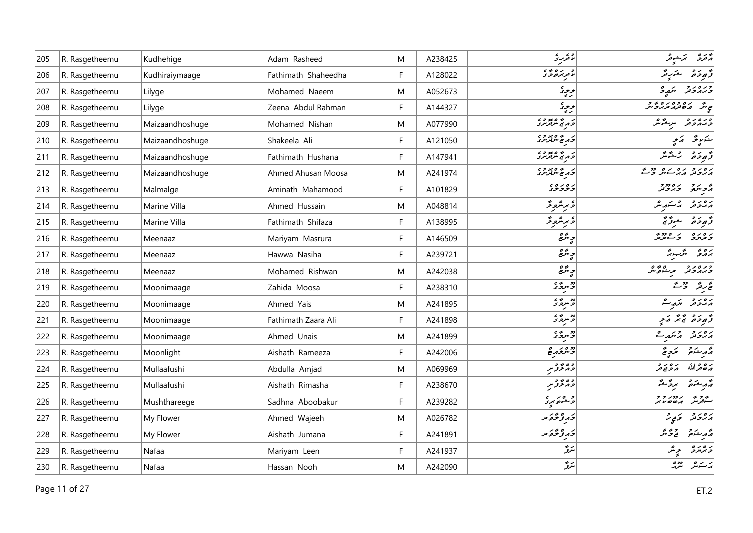| 205 | R. Rasgetheemu | Kudhehige       | Adam Rasheed        | M         | A238425 | ئەقدىرى<br>                                              | أرتره كرشونر                                 |
|-----|----------------|-----------------|---------------------|-----------|---------|----------------------------------------------------------|----------------------------------------------|
| 206 | R. Rasgetheemu | Kudhiraiymaage  | Fathimath Shaheedha | F.        | A128022 | د دره و ،<br>مامربرج ژ                                   | أوٌجوحَمَّ شَدَرِتَرُ                        |
| 207 | R. Rasgetheemu | Lilyge          | Mohamed Naeem       | M         | A052673 | موموتى<br>مرىچە                                          | ورەرو سەر                                    |
| 208 | R. Rasgetheemu | Lilyge          | Zeena Abdul Rahman  | F.        | A144327 | موموتى                                                   | ى ئەرەبەرە بەر<br>ئېش مەھىرمە <i>بەر 5 س</i> |
| 209 | R. Rasgetheemu | Maizaandhoshuge | Mohamed Nishan      | M         | A077990 | ئەرىج مەيد د ،<br>  ئەرىج مىرتىرىرى                      | ورەرو سەمگەر                                 |
| 210 | R. Rasgetheemu | Maizaandhoshuge | Shakeela Ali        | F         | A121050 | ر په ۱۶۵۵ و <sup>ی</sup><br>تر د مخ سرفر مر <sub>ک</sub> | لمنكبو فلتحرج أيرمح                          |
| 211 | R. Rasgetheemu | Maizaandhoshuge | Fathimath Hushana   | F         | A147941 | ىر پە ھېچەدى<br>جەمەتتى سرقىرىرى                         | ۇ بەر ئەشكە                                  |
| 212 | R. Rasgetheemu | Maizaandhoshuge | Ahmed Ahusan Moosa  | ${\sf M}$ | A241974 | ئەر ئ <sup>ە</sup> مەيدىرى<br>خىر ئى مىرتىرىرى           | ره رو بره مربع و دو م                        |
| 213 | R. Rasgetheemu | Malmalge        | Aminath Mahamood    | F         | A101829 | ر ه ر ه ،<br><del>ر ژر</del> ژ                           | ړې شه د د د د                                |
| 214 | R. Rasgetheemu | Marine Villa    | Ahmed Hussain       | M         | A048814 | <sup>ء</sup> مریٹر <sub>مو</sub> محر                     | رەرد جەكتەش                                  |
| 215 | R. Rasgetheemu | Marine Villa    | Fathimath Shifaza   | F.        | A138995 | ۇ برى <sup>ر</sup> بو <sub>ق</sub> ۇ                     | ژوده خرژهٔ                                   |
| 216 | R. Rasgetheemu | Meenaaz         | Mariyam Masrura     | F         | A146509 | جريثره                                                   | ىر ھەدىرىگە<br>ر ه ر ه<br><del>د</del> بربرگ |
| 217 | R. Rasgetheemu | Meenaaz         | Hawwa Nasiha        | F         | A239721 | جريثي                                                    | رەپ شەر                                      |
| 218 | R. Rasgetheemu | Meenaaz         | Mohamed Rishwan     | M         | A242038 | جريثي                                                    | ورەرو برشو <i>ۇ</i> ش                        |
| 219 | R. Rasgetheemu | Moonimaage      | Zahida Moosa        | F         | A238310 | ادو په په په<br>م                                        | تجرینگر حرمشگر                               |
| 220 | R. Rasgetheemu | Moonimaage      | Ahmed Yais          | M         | A241895 | دو په په<br>د سرچ د                                      | גפנד תן ב                                    |
| 221 | R. Rasgetheemu | Moonimaage      | Fathimath Zaara Ali | F         | A241898 | ادو ہے ج<br> حسر پر تری                                  | و بالمحمد المحمد الأمر                       |
| 222 | R. Rasgetheemu | Moonimaage      | Ahmed Unais         | M         | A241899 | ادو پروند<br>  د سرچرۍ                                   | رەرو دىكەب                                   |
| 223 | R. Rasgetheemu | Moonlight       | Aishath Rameeza     | F         | A242006 | لتشريخه وهج                                              | پ <sup>ر</sup> در شوځ<br>ىمەرىج              |
| 224 | R. Rasgetheemu | Mullaafushi     | Abdulla Amjad       | M         | A069969 | دەنۇرىر                                                  | برە دالله<br>بر ٥ پر ۶<br>در ۳ قر            |
| 225 | R. Rasgetheemu | Mullaafushi     | Aishath Rimasha     | F         | A238670 | <br> درگزۇىر                                             | وأرشكم بروشة                                 |
| 226 | R. Rasgetheemu | Mushthareege    | Sadhna Aboobakur    | F         | A239282 | و شوېر په<br>تر شوم پر د                                 | موجع بردور دو<br>سورس م                      |
| 227 | R. Rasgetheemu | My Flower       | Ahmed Wajeeh        | M         | A026782 | 5 مۇ ئۇ ئەسر                                             | أزرو ويحتمل أوالمح وحمي                      |
| 228 | R. Rasgetheemu | My Flower       | Aishath Jumana      | F         | A241891 | دَ <sub>مر</sub> وْ ژَهَ <sub>م</sub> ر                  | ح بح مگر<br>مح حر<br>ا په مه شو د            |
| 229 | R. Rasgetheemu | Nafaa           | Mariyam Leen        | F.        | A241937 | سَرَدٌ                                                   | ر ه ر ه<br>د بربر ژ<br>مجيشر                 |
| 230 | R. Rasgetheemu | Nafaa           | Hassan Nooh         | M         | A242090 | سردٌ                                                     | يتزم<br>برسەيىتە                             |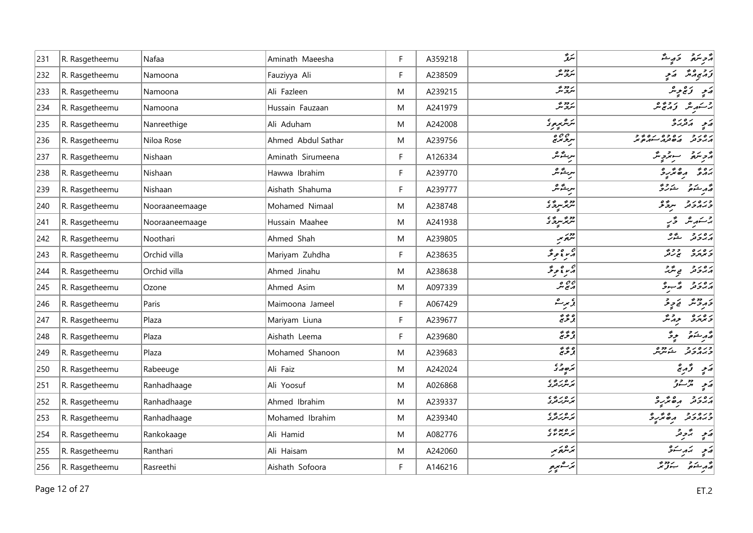| 231 | R. Rasgetheemu | Nafaa          | Aminath Maeesha    | F         | A359218 | سَرَدٌ                          | ىز <sub>مە</sub> شە<br>أأرد سرة                               |
|-----|----------------|----------------|--------------------|-----------|---------|---------------------------------|---------------------------------------------------------------|
| 232 | R. Rasgetheemu | Namoona        | Fauziyya Ali       | F         | A238509 | بر دو پر<br>سرچ سر              | وَمُعِهْدٌ مَعٍ                                               |
| 233 | R. Rasgetheemu | Namoona        | Ali Fazleen        | ${\sf M}$ | A239215 | پر دو پر<br>سرچ سر              | أريج وكالحميثر                                                |
| 234 | R. Rasgetheemu | Namoona        | Hussain Fauzaan    | M         | A241979 | بر دو پر<br>سرچ سر              | رحمده ودوه                                                    |
| 235 | R. Rasgetheemu | Nanreethige    | Ali Aduham         | ${\sf M}$ | A242008 | ىئەتىرىدى<br>مىزىترىيو ئ        | أيمو أيده ويده                                                |
| 236 | R. Rasgetheemu | Niloa Rose     | Ahmed Abdul Sathar | M         | A239756 | سرچينې                          | ره وه ره دو<br>پره تر پر شهره تر<br>ر ە ر د<br>مەركى          |
| 237 | R. Rasgetheemu | Nishaan        | Aminath Sirumeena  | F         | A126334 | سرىشەشر                         | ر<br>مرگ سرچ                                                  |
| 238 | R. Rasgetheemu | Nishaan        | Hawwa Ibrahim      | F         | A239770 | سرىشەشر                         | رە بە<br>برادى<br>ەرھ ئ <sup>ۆ</sup> ر ۋ                      |
| 239 | R. Rasgetheemu | Nishaan        | Aishath Shahuma    | F         | A239777 | سرىشەشر                         | ے ژنخ<br>پر ديگر جر<br><i>دگ</i> ر د مشترهي                   |
| 240 | R. Rasgetheemu | Nooraaneemaage | Mohamed Nimaal     | ${\sf M}$ | A238748 | دو پر پره<br>سرچرسو د           | و ره ر و<br><i>و پر</i> و تر<br>سردٌ ثر                       |
| 241 | R. Rasgetheemu | Nooraaneemaage | Hussain Maahee     | M         | A241938 | چرچمبردمجر<br>سرچر <sub>و</sub> | جر سەر بىر                                                    |
| 242 | R. Rasgetheemu | Noothari       | Ahmed Shah         | M         | A239805 | ابتهر<br>انتظم                  | ىر 2 مەر<br>مەندى <del>ك</del> ىر<br>ىشەر                     |
| 243 | R. Rasgetheemu | Orchid villa   | Mariyam Zuhdha     | F         | A238635 | ەر بە ئوقر                      | ر ه ر ه<br>د بربر د<br>ح ح حر<br>سی مرکز                      |
| 244 | R. Rasgetheemu | Orchid villa   | Ahmed Jinahu       | ${\sf M}$ | A238638 | لأمره وبحر                      | بره بر <sub>ح</sub> مگر <sup>2</sup>                          |
| 245 | R. Rasgetheemu | Ozone          | Ahmed Asim         | ${\sf M}$ | A097339 | پر چ پر<br>                     | رژیبەر<br>ر ە ر د<br>م <i>.ئ</i> رى تىر                       |
| 246 | R. Rasgetheemu | Paris          | Maimoona Jameel    | F         | A067429 | دیریہ                           | اپر دوبر<br>تح حٍ يحرُ                                        |
| 247 | R. Rasgetheemu | Plaza          | Mariyam Liuna      | F         | A239677 | إدبجيج                          | جەمتىر<br>ر ه ر ه<br><del>و</del> بربرو                       |
| 248 | R. Rasgetheemu | Plaza          | Aishath Leema      | F         | A239680 | وثرة                            | حرِرٌ<br>و د به شوه<br>د کرد شوه                              |
| 249 | R. Rasgetheemu | Plaza          | Mohamed Shanoon    | M         | A239683 | وثرة                            | ے پیر می <sub>ر</sub><br>و ر ه ر و<br>د بر پر <del>و</del> تر |
| 250 | R. Rasgetheemu | Rabeeuge       | Ali Faiz           | ${\sf M}$ | A242024 | پر چه د د                       | $rac{1}{5}$ $rac{1}{5}$ $rac{1}{5}$                           |
| 251 | R. Rasgetheemu | Ranhadhaage    | Ali Yoosuf         | ${\sf M}$ | A026868 | ر ۱۵ رپ.<br>برمر <i>ر</i> تری   |                                                               |
| 252 | R. Rasgetheemu | Ranhadhaage    | Ahmed Ibrahim      | ${\sf M}$ | A239337 | ر ہ ر ر ر<br>بر سربر تر پ       | ر ە ر د<br>مەركىر                                             |
| 253 | R. Rasgetheemu | Ranhadhaage    | Mohamed Ibrahim    | ${\sf M}$ | A239340 | ر ۱۵ رپ.<br>برمر <i>ر</i> تری   | ەھ ترىرى<br>و ر ه ر د<br>د بر پر تر                           |
| 254 | R. Rasgetheemu | Rankokaage     | Ali Hamid          | ${\sf M}$ | A082776 | ر ۲۵ پر ه<br>برس را ر           | ړې پروند                                                      |
| 255 | R. Rasgetheemu | Ranthari       | Ali Haisam         | M         | A242060 | ابرعهمز                         | ړې په درو                                                     |
| 256 | R. Rasgetheemu | Rasreethi      | Aishath Sofoora    | F         | A146216 | ائر شوہو<br>ائر شوہو            | و در دور<br>مگر شوی سوز بر                                    |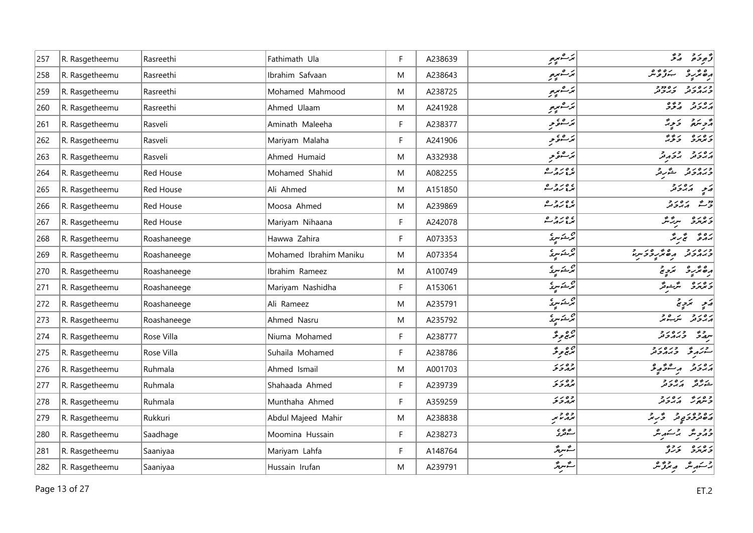| 257 | R. Rasgetheemu | Rasreethi        | Fathimath Ula          | F         | A238639 | ائر شوبرہ<br>ائر                | ەرىخ<br>ا تو بر در<br>ا                                                         |
|-----|----------------|------------------|------------------------|-----------|---------|---------------------------------|---------------------------------------------------------------------------------|
| 258 | R. Rasgetheemu | Rasreethi        | Ibrahim Safvaan        | M         | A238643 | ائر کشمیر<br>ا                  | ارە ئۈرۈ<br>ىبەد ۋىتر                                                           |
| 259 | R. Rasgetheemu | Rasreethi        | Mohamed Mahmood        | M         | A238725 | ائر تشمیرہ<br>ا                 | و رە ر د<br><i>د بر</i> گەر<br>ر ٥ دو و<br>تربر <del>و</del> تر                 |
| 260 | R. Rasgetheemu | Rasreethi        | Ahmed Ulaam            | M         | A241928 | ائر شوہو<br>ائر شوہو            | ىر 2 مەر<br>مەشرىق قىل<br>و ده ه<br>پرنور                                       |
| 261 | R. Rasgetheemu | Rasveli          | Aminath Maleeha        | F         | A238377 | ائر صفحو                        | ۇيەر<br>أرمز ترة                                                                |
| 262 | R. Rasgetheemu | Rasveli          | Mariyam Malaha         | F         | A241906 | بمرسكوعر                        | ۇ ئەتر<br>ر ه ر ه<br>د بربر د                                                   |
| 263 | R. Rasgetheemu | Rasveli          | Ahmed Humaid           | M         | A332938 | بمرسكوعر                        | גפגב בגבב                                                                       |
| 264 | R. Rasgetheemu | <b>Red House</b> | Mohamed Shahid         | M         | A082255 | ، ەر دې<br>مربى <i>س</i> ىر     | ورەرو شەرىر                                                                     |
| 265 | R. Rasgetheemu | <b>Red House</b> | Ali Ahmed              | M         | A151850 | ، ەر دې<br>مربى <i>س</i> ىر     | $\begin{vmatrix} 2 & 2 & 2 & 1 \\ 2 & 2 & 2 & 1 \\ 2 & 2 & 2 & 2 \end{vmatrix}$ |
| 266 | R. Rasgetheemu | <b>Red House</b> | Moosa Ahmed            | M         | A239869 | ، ەر دې<br>مربى <i>س</i> ىر     | وحرثته أبره ورو                                                                 |
| 267 | R. Rasgetheemu | Red House        | Mariyam Nihaana        | F         | A242078 | ، ەر دەپ                        | تر جو بر ج<br>سررممثر                                                           |
| 268 | R. Rasgetheemu | Roashaneege      | Hawwa Zahira           | F         | A073353 | ترىشەسرىگە                      | رە ئەرىگە                                                                       |
| 269 | R. Rasgetheemu | Roashaneege      | Mohamed Ibrahim Maniku | M         | A073354 | ترڪسري                          | و ر ه ر د<br>و پر پر <del>و</del> تر<br>ەھ ئەر 3 كەسرى <sub>د</sub>             |
| 270 | R. Rasgetheemu | Roashaneege      | Ibrahim Rameez         | M         | A100749 | ە<br>ئىرىشەسرىيە                | بمرحريح<br>ە ھەترىر <sup>ە</sup>                                                |
| 271 | R. Rasgetheemu | Roashaneege      | Mariyam Nashidha       | F         | A153061 | جر ڪيو سيء <i>ُ</i><br>حر       | ر ه ر ه<br><del>و</del> بربرو<br>سُرُشدترٌ                                      |
| 272 | R. Rasgetheemu | Roashaneege      | Ali Rameez             | ${\sf M}$ | A235791 | ئۇيغۇمىيە ئە<br>                | ړې برېږ                                                                         |
| 273 | R. Rasgetheemu | Roashaneege      | Ahmed Nasru            | M         | A235792 | ترڪسري                          | رەرد شەرەپى<br>مەرىر ش                                                          |
| 274 | R. Rasgetheemu | Rose Villa       | Niuma Mohamed          | F.        | A238777 | ترجم عرقحه                      | و ر ه ر و<br><i>د ب</i> رگرفر<br>سرچينې                                         |
| 275 | R. Rasgetheemu | Rose Villa       | Suhaila Mohamed        | F         | A238786 | لترجموقر                        | و ره ر د<br>تر پر ژور<br>شۇركىر ئۇ                                              |
| 276 | R. Rasgetheemu | Ruhmala          | Ahmed Ismail           | M         | A001703 | بردر تر                         | ەرسىۋەپەي<br>ر ه ر د<br>م.ر د تر                                                |
| 277 | R. Rasgetheemu | Ruhmala          | Shahaada Ahmed         | F         | A239739 | و ه ر ر<br>مرد <del>گر</del> څر | ر و و د و د و<br>شوگ <sup>و</sup> گر م پروتر                                    |
| 278 | R. Rasgetheemu | Ruhmala          | Munthaha Ahmed         | F         | A359259 | د ه ر ر<br>مرد <del>ر</del> نر  | و ہ رو ہے د ہے<br>ترسہور کم ہر تر                                               |
| 279 | R. Rasgetheemu | Rukkuri          | Abdul Majeed Mahir     | M         | A238838 | برە دېر                         | ره وه د و د کريز<br>مەھىر دىگر                                                  |
| 280 | R. Rasgetheemu | Saadhage         | Moomina Hussain        | F         | A238273 | ر پیچه به                       | ومزونتر الرشرهر                                                                 |
| 281 | R. Rasgetheemu | Saaniyaa         | Mariyam Lahfa          | F.        | A148764 | سەمبرىگر                        | رەرە رەپ                                                                        |
| 282 | R. Rasgetheemu | Saaniyaa         | Hussain Irufan         | ${\sf M}$ | A239791 | سەمبەر                          | برسكهر شهر ويروهر                                                               |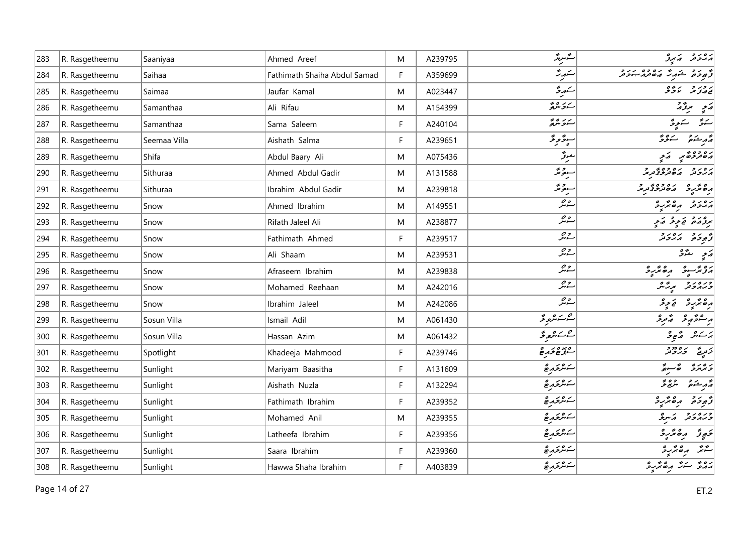| 283 | R. Rasgetheemu | Saaniyaa     | Ahmed Areef                  | ${\sf M}$ | A239795 | سەمبر                    | ړه د په پرو                                                                                                                                                                                                                                                                                                                        |
|-----|----------------|--------------|------------------------------|-----------|---------|--------------------------|------------------------------------------------------------------------------------------------------------------------------------------------------------------------------------------------------------------------------------------------------------------------------------------------------------------------------------|
| 284 | R. Rasgetheemu | Saihaa       | Fathimath Shaiha Abdul Samad | F         | A359699 | سەرىژ                    | ه د د دره ده ده درد و درد و برا                                                                                                                                                                                                                                                                                                    |
| 285 | R. Rasgetheemu | Saimaa       | Jaufar Kamal                 | ${\sf M}$ | A023447 | سەرىچ                    | رور و روه                                                                                                                                                                                                                                                                                                                          |
| 286 | R. Rasgetheemu | Samanthaa    | Ali Rifau                    | M         | A154399 | ے پر ہ پر                | ړې بروگ                                                                                                                                                                                                                                                                                                                            |
| 287 | R. Rasgetheemu | Samanthaa    | Sama Saleem                  | F         | A240104 | سەر ە بە                 | $\begin{array}{cc} 0 & 0 & 0 \\ 0 & 0 & 0 \\ 0 & 0 & 0 \\ 0 & 0 & 0 \\ 0 & 0 & 0 \\ 0 & 0 & 0 \\ 0 & 0 & 0 \\ 0 & 0 & 0 \\ 0 & 0 & 0 \\ 0 & 0 & 0 \\ 0 & 0 & 0 \\ 0 & 0 & 0 \\ 0 & 0 & 0 & 0 \\ 0 & 0 & 0 & 0 \\ 0 & 0 & 0 & 0 \\ 0 & 0 & 0 & 0 & 0 \\ 0 & 0 & 0 & 0 & 0 \\ 0 & 0 & 0 & 0 & 0 \\ 0 & 0 & 0 & 0 & 0 \\ 0 & 0 & 0 &$ |
| 288 | R. Rasgetheemu | Seemaa Villa | Aishath Salma                | F         | A239651 | سوڈ <sub>حر</sub> گر     |                                                                                                                                                                                                                                                                                                                                    |
| 289 | R. Rasgetheemu | Shifa        | Abdul Baary Ali              | M         | A075436 | شىۋ                      | ره وه د په د                                                                                                                                                                                                                                                                                                                       |
| 290 | R. Rasgetheemu | Sithuraa     | Ahmed Abdul Gadir            | ${\sf M}$ | A131588 | سوە تىر                  | ره رو ده ده ده بر<br>د در در ده مروز در                                                                                                                                                                                                                                                                                            |
| 291 | R. Rasgetheemu | Sithuraa     | Ibrahim Abdul Gadir          | ${\sf M}$ | A239818 | سوە تە                   | ו סורים הסינקיביקיב                                                                                                                                                                                                                                                                                                                |
| 292 | R. Rasgetheemu | Snow         | Ahmed Ibrahim                | M         | A149551 | يەمبر                    |                                                                                                                                                                                                                                                                                                                                    |
| 293 | R. Rasgetheemu | Snow         | Rifath Jaleel Ali            | M         | A238877 | يەمبر                    | برؤده و و و دَرِ                                                                                                                                                                                                                                                                                                                   |
| 294 | R. Rasgetheemu | Snow         | Fathimath Ahmed              | F         | A239517 | سەتىر                    | قرم و ده دور                                                                                                                                                                                                                                                                                                                       |
| 295 | R. Rasgetheemu | Snow         | Ali Shaam                    | ${\sf M}$ | A239531 | سەتىر                    | پر په دیگرو                                                                                                                                                                                                                                                                                                                        |
| 296 | R. Rasgetheemu | Snow         | Afraseem Ibrahim             | ${\sf M}$ | A239838 | سەتىر                    | ړه پژلو په موسره                                                                                                                                                                                                                                                                                                                   |
| 297 | R. Rasgetheemu | Snow         | Mohamed Reehaan              | M         | A242016 | يەدىر                    | ورەرو پرچم                                                                                                                                                                                                                                                                                                                         |
| 298 | R. Rasgetheemu | Snow         | Ibrahim Jaleel               | M         | A242086 | سەتىر                    | ە ھەترىر ۋ<br>تح مجر پحر                                                                                                                                                                                                                                                                                                           |
| 299 | R. Rasgetheemu | Sosun Villa  | Ismail Adil                  | ${\sf M}$ | A061430 | 2 سەمب <sub>ىرى</sub> ئە | وكمشتر ويحمدهم                                                                                                                                                                                                                                                                                                                     |
| 300 | R. Rasgetheemu | Sosun Villa  | Hassan Azim                  | M         | A061432 | استمستقرعه               | بزيتره<br>ەمجى ئ                                                                                                                                                                                                                                                                                                                   |
| 301 | R. Rasgetheemu | Spotlight    | Khadeeja Mahmood             | F         | A239746 |                          | ر ۵ دو و<br>تربر <del>و</del> تر<br>نرَمْرِيحَ                                                                                                                                                                                                                                                                                     |
| 302 | R. Rasgetheemu | Sunlight     | Mariyam Baasitha             | F         | A131609 | سە ئىر ئۆزمەغ            | ر ه بر ه<br><del>د</del> بربر د                                                                                                                                                                                                                                                                                                    |
| 303 | R. Rasgetheemu | Sunlight     | Aishath Nuzla                | F         | A132294 | سەمىزىرغ                 | سرچ ئژ<br>و مرکز در در<br>مرکز در سنور                                                                                                                                                                                                                                                                                             |
| 304 | R. Rasgetheemu | Sunlight     | Fathimath Ibrahim            | F         | A239352 | سە ئىرى <i>خەر</i> ھ     | و په پر د<br>مەھترىرى                                                                                                                                                                                                                                                                                                              |
| 305 | R. Rasgetheemu | Sunlight     | Mohamed Anil                 | ${\sf M}$ | A239355 | ر<br>سەنگەنىز بەھ        | و ر ه ر د<br>تر پر ژ تر<br>رَ سربر                                                                                                                                                                                                                                                                                                 |
| 306 | R. Rasgetheemu | Sunlight     | Latheefa Ibrahim             | F         | A239356 | ستقرئره                  | خوي<br>קە ئەرىرە<br>_                                                                                                                                                                                                                                                                                                              |
| 307 | R. Rasgetheemu | Sunlight     | Saara Ibrahim                | F         | A239360 | استشرقهم                 | $\overline{\mathcal{Z}}$<br>ە ھەترىرى<br>بەھەترىپە                                                                                                                                                                                                                                                                                 |
| 308 | R. Rasgetheemu | Sunlight     | Hawwa Shaha Ibrahim          | F         | A403839 | سەمىزىرغ                 | 5.80, 2.000                                                                                                                                                                                                                                                                                                                        |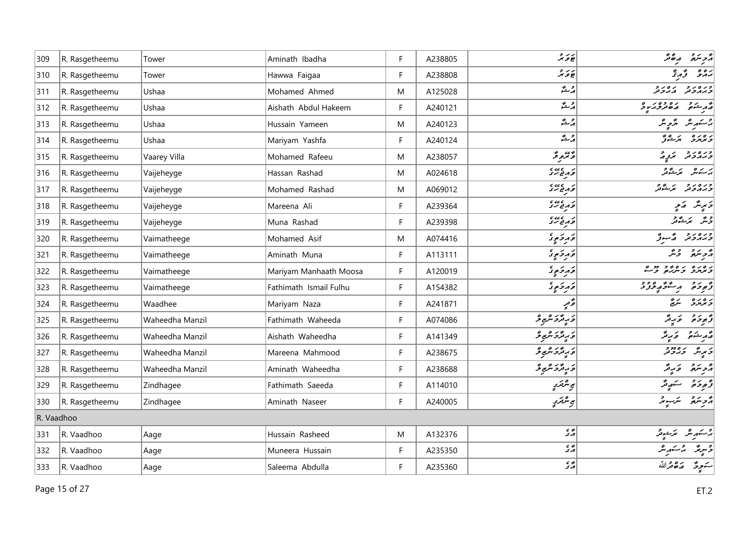| 309        | R. Rasgetheemu | Tower           | Aminath Ibadha         | $\mathsf F$ | A238805 | ر ر و<br>ھ§ىر           |                                                      |
|------------|----------------|-----------------|------------------------|-------------|---------|-------------------------|------------------------------------------------------|
| 310        | R. Rasgetheemu | Tower           | Hawwa Faigaa           | F.          | A238808 | ر ر د<br>ح تو بر        | رەپە ۋىرقى                                           |
| 311        | R. Rasgetheemu | Ushaa           | Mohamed Ahmed          | M           | A125028 | رژیئه                   | כנסנכ נסנכ<br>כגמכת הגבת                             |
| 312        | R. Rasgetheemu | Ushaa           | Aishath Abdul Hakeem   | F           | A240121 | رحمشر                   | رە دەر بە<br>ر<br>مرگه مشوه <sub>و</sub>             |
| 313        | R. Rasgetheemu | Ushaa           | Hussain Yameen         | M           | A240123 | رحمشه                   | 2 سَمر شرح مگرچ مگر                                  |
| 314        | R. Rasgetheemu | Ushaa           | Mariyam Yashfa         | F.          | A240124 | رژیئه                   | رەرە بر <u>ەم</u>                                    |
| 315        | R. Rasgetheemu | Vaarey Villa    | Mohamed Rafeeu         | M           | A238057 | ە ،،<br>قەنىز بوقر      | ورەر دىرو                                            |
| 316        | R. Rasgetheemu | Vaijeheyge      | Hassan Rashad          | M           | A024618 | ر<br>تو در ج ر د        | ىز سەش ئۆستەتر                                       |
| 317        | R. Rasgetheemu | Vaijeheyge      | Mohamed Rashad         | M           | A069012 | ر<br>ح.دق ری            | ورەرو پرېشتر                                         |
| 318        | R. Rasgetheemu | Vaijeheyge      | Mareena Ali            | F           | A239364 | ر<br>ح در ج ر د         | كالحاس كالمحيا                                       |
| 319        | R. Rasgetheemu | Vaijeheyge      | Muna Rashad            | F           | A239398 | ر<br>ود و رو د          | و پر پر پرو                                          |
| 320        | R. Rasgetheemu | Vaimatheege     | Mohamed Asif           | M           | A074416 | ۇ بر ئەم <sub>ۇ</sub> ئ | ورەرو ئەببول                                         |
| 321        | R. Rasgetheemu | Vaimatheege     | Aminath Muna           | F.          | A113111 | و مر د ځمو د            | أأدمره ويؤ                                           |
| 322        | R. Rasgetheemu | Vaimatheege     | Mariyam Manhaath Moosa | F.          | A120019 | ر<br>وګړو <sub>وو</sub> | נ סנים נוספים כבור.<br>בינותים בינונים ביי           |
| 323        | R. Rasgetheemu | Vaimatheege     | Fathimath Ismail Fulhu | F.          | A154382 | ۇ بر ئەم <sub>ۇ</sub> ئ | ۇ بەرە بەسىۋە بەرە                                   |
| 324        | R. Rasgetheemu | Waadhee         | Mariyam Naza           | F.          | A241871 | حٌسٍ                    | ويوبره<br>سرچ                                        |
| 325        | R. Rasgetheemu | Waheedha Manzil | Fathimath Waheeda      | F           | A074086 | <i>ۇ بە</i> ئرىزىرى ئى  | توجوحه وكبيتر                                        |
| 326        | R. Rasgetheemu | Waheedha Manzil | Aishath Waheedha       | F.          | A141349 | <i>ۇبەقەدى</i> گىرى     | وكرشكم وكرفر                                         |
| 327        | R. Rasgetheemu | Waheedha Manzil | Mareena Mahmood        | F           | A238675 | <i>ۇبەقرۇ</i> تىرىمۇ    | ر ه دو و<br>تربر <del>و</del> تر<br>ئە ئىرىتىر<br>ئى |
| 328        | R. Rasgetheemu | Waheedha Manzil | Aminath Waheedha       | F           | A238688 | ئەبەئىرى شىبو بى        | أزويتهم أورقر                                        |
| 329        | R. Rasgetheemu | Zindhagee       | Fathimath Saeeda       | F.          | A114010 | ىج يىڭرىمىيە            | سەمەقە<br>وٌجوحه                                     |
| 330        | R. Rasgetheemu | Zindhagee       | Aminath Naseer         | F           | A240005 | ىج مىڭرىمىيە            | و څخه سره<br>سكرسبونز                                |
| R. Vaadhoo |                |                 |                        |             |         |                         |                                                      |
| 331        | R. Vaadhoo     | Aage            | Hussain Rasheed        | M           | A132376 | پر<br>مر                | چرىكى ئېرىشوچر                                       |
| 332        | R. Vaadhoo     | Aage            | Muneera Hussain        | F.          | A235350 | پر ج<br>مرگ             | دسریگر گرگتوریگر<br>حسینگر گرفته در الله             |
| 333        | R. Vaadhoo     | Aage            | Saleema Abdulla        | F.          | A235360 | پو ء<br>مر              |                                                      |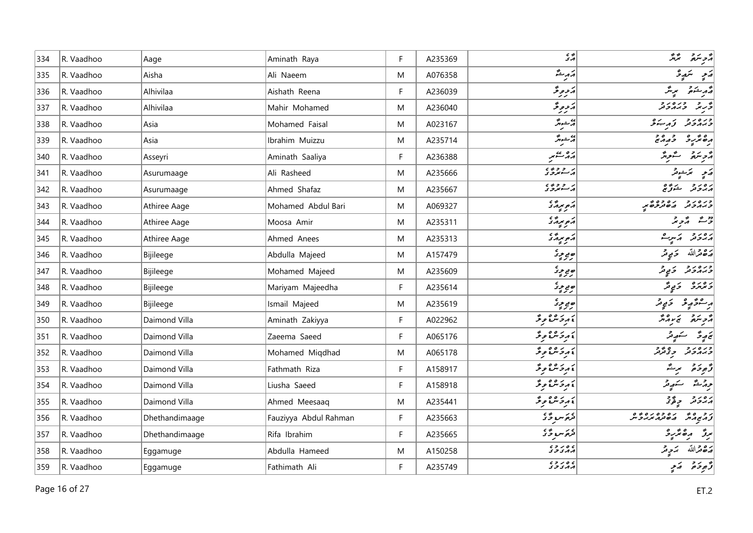| 334 | R. Vaadhoo | Aage           | Aminath Raya          | F         | A235369 | پو مي<br>مرمي                           | بروتر<br>ا محمد سنة حسن المستخرجي.<br>مستخرجين |
|-----|------------|----------------|-----------------------|-----------|---------|-----------------------------------------|------------------------------------------------|
| 335 | R. Vaadhoo | Aisha          | Ali Naeem             | M         | A076358 | برُ ديگر                                | سَمِيرَةُ<br>اړمنه                             |
| 336 | R. Vaadhoo | Alhivilaa      | Aishath Reena         | F         | A236039 | لەزروقە                                 | پ <sup>و</sup> مرشومو<br>مرم<br>ىيرىتىر        |
| 337 | R. Vaadhoo | Alhivilaa      | Mahir Mohamed         | M         | A236040 | ەزرەتى                                  | و ر ه ر د<br>تر پروتر<br>ۇر بۇ                 |
| 338 | R. Vaadhoo | Asia           | Mohamed Faisal        | M         | A023167 | یں مشدور<br>اثر مشدور                   | ورەرو تەرىپى                                   |
| 339 | R. Vaadhoo | Asia           | Ibrahim Muizzu        | M         | A235714 | اند شودگر<br>                           | ە ھەترىر <sup>ە</sup><br>تەرەپى                |
| 340 | R. Vaadhoo | Asseyri        | Aminath Saaliya       | F         | A236388 | لئەرىئىمبر                              | $rac{2}{3}$<br>ستكودش                          |
| 341 | R. Vaadhoo | Asurumaage     | Ali Rasheed           | ${\sf M}$ | A235666 | ر په ده ده د                            | ر<br>موسيم سيومر                               |
| 342 | R. Vaadhoo | Asurumaage     | Ahmed Shafaz          | ${\sf M}$ | A235667 | ر د د و و و<br>پرسه مرو د               | ره ر و در ده<br>دربروتر مشوقری                 |
| 343 | R. Vaadhoo | Athiree Aage   | Mohamed Abdul Bari    | M         | A069327 | <br>  په مو موړنۍ                       | ورەرو رەدەھر<br>جەمەدىر مەمرىر <i>ە</i> م      |
| 344 | R. Vaadhoo | Athiree Aage   | Moosa Amir            | M         | A235311 | <br>  د ه مرو د                         | وحرثته أترحر                                   |
| 345 | R. Vaadhoo | Athiree Aage   | Ahmed Anees           | ${\sf M}$ | A235313 | أتهويرونه                               | ړه رو ټرو                                      |
| 346 | R. Vaadhoo | Bijileege      | Abdulla Majeed        | ${\sf M}$ | A157479 | ھ قبے مورگا<br>حرم ہ                    | پرھ قرالله   تاتیج قر                          |
| 347 | R. Vaadhoo | Bijileege      | Mohamed Majeed        | M         | A235609 | ھ ج <sub>و</sub> بورگر<br>مرمز پی       | ورەرو كەيد                                     |
| 348 | R. Vaadhoo | Bijileege      | Mariyam Majeedha      | F         | A235614 | ھ قبے بورگا<br>مرکز کا                  | و ورو و يځ                                     |
| 349 | R. Vaadhoo | Bijileege      | Ismail Majeed         | M         | A235619 | <br>  حرم حرم<br>                       | برڪرتمبر و کي تر                               |
| 350 | R. Vaadhoo | Daimond Villa  | Aminath Zakiyya       | F         | A022962 | ئەر ئەنىدى ئور                          |                                                |
| 351 | R. Vaadhoo | Daimond Villa  | Zaeema Saeed          | F         | A065176 | ئەر ئەشۋ <sub>ىر</sub> ئ <sup>ى</sup> ر | ىم ئەڭ سىم ئىر                                 |
| 352 | R. Vaadhoo | Daimond Villa  | Mohamed Miqdhad       | M         | A065178 | ،<br>، مرځ متن <sup>و</sup> و ځ         | و رە ر د<br><i>د بە</i> پەر تەر<br>ر ? ترگر    |
| 353 | R. Vaadhoo | Daimond Villa  | Fathmath Riza         | F         | A158917 | ئەر ئەمرى ئ <i>و</i> ر                  | ۇۋۇۋە بېش                                      |
| 354 | R. Vaadhoo | Daimond Villa  | Liusha Saeed          | F         | A158918 | ) ، برځسنا <i>و</i> ځ                   | ىروشش سەربىر                                   |
| 355 | R. Vaadhoo | Daimond Villa  | Ahmed Meesaaq         | ${\sf M}$ | A235441 | ،<br>، ئەرىخىنىڭ <sub>مۇ</sub> رىخ      | بر و بر و<br>م <i>ر</i> کرونر<br>ح څو تو<br>ح  |
| 356 | R. Vaadhoo | Dhethandimaage | Fauziyya Abdul Rahman | F         | A235663 | ء پر سرچ ۽<br> فرح سر۽ حري              | נגים גם בסגם בם                                |
| 357 | R. Vaadhoo | Dhethandimaage | Rifa Ibrahim          | F         | A235665 | ترجر سو څر                              | برز مەمرىرد<br>ب                               |
| 358 | R. Vaadhoo | Eggamuge       | Abdulla Hameed        | M         | A150258 | 55599                                   | پَرکو تَراللّه<br>برَحٍة قر                    |
| 359 | R. Vaadhoo | Eggamuge       | Fathimath Ali         | F         | A235749 | 55500                                   | وٌجوحه وَمَعٍ                                  |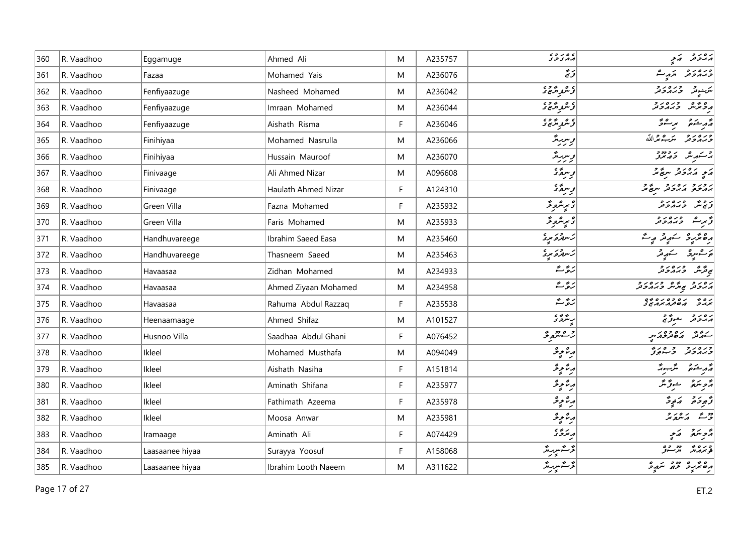| 360 | R. Vaadhoo | Eggamuge        | Ahmed Ali                  | M           | A235757 | 55599                                                  | پروژ پر پر                                                                                                                                             |
|-----|------------|-----------------|----------------------------|-------------|---------|--------------------------------------------------------|--------------------------------------------------------------------------------------------------------------------------------------------------------|
| 361 | R. Vaadhoo | Fazaa           | Mohamed Yais               | M           | A236076 | تریخ                                                   | כממכני תגם                                                                                                                                             |
| 362 | R. Vaadhoo | Fenfiyaazuge    | Nasheed Mohamed            | M           | A236042 | ۇ شرىر ئىرى                                            | <br>  سرشوتر - 2012 قر                                                                                                                                 |
| 363 | R. Vaadhoo | Fenfiyaazuge    | Imraan Mohamed             | M           | A236044 | ، ه د پرځ د<br>نر سرو پرځ د                            | ە 2007 - 2007 كىل                                                                                                                                      |
| 364 | R. Vaadhoo | Fenfiyaazuge    | Aishath Risma              | $\mathsf F$ | A236046 | ې شر <sub>و</sub> برخ د ،<br>د شر <sub>و ت</sub> ريخ د | وكرمشكم المراضيح                                                                                                                                       |
| 365 | R. Vaadhoo | Finihiyaa       | Mohamed Nasrulla           | M           | A236066 | د سربر پر<br>سربر                                      | وبره برو بريد والله                                                                                                                                    |
| 366 | R. Vaadhoo | Finihiyaa       | Hussain Mauroof            | M           | A236070 | و سربر پر<br>تر بر بر                                  | ا مسکور میں مقام دور دیا تھا جاتی ہے۔<br>اس کا سیکس میں مقام کر کا کام کرنے کے مقام کرنے کے مقام کرنے کے مقام کرنے کے مقام کرنے کے مقام کرنے کے لیے ان |
| 367 | R. Vaadhoo | Finivaage       | Ali Ahmed Nizar            | M           | A096608 | و سرچ <sup>ي</sup>                                     | أرو أراد و الله الله الله الله الله                                                                                                                    |
| 368 | R. Vaadhoo | Finivaage       | <b>Haulath Ahmed Nizar</b> | F           | A124310 | وسرة و                                                 | رورو رەرو سرگام                                                                                                                                        |
| 369 | R. Vaadhoo | Green Villa     | Fazna Mohamed              | F           | A235932 | <sup>ە</sup> بې <sup>تر</sup> بۇ                       | و حرم در در د                                                                                                                                          |
| 370 | R. Vaadhoo | Green Villa     | Faris Mohamed              | M           | A235933 | ۇ بېرىتر <sub>ى</sub> رگە                              | و ره ر د<br>رندگرونر<br> ۇبىرىشە                                                                                                                       |
| 371 | R. Vaadhoo | Handhuvareege   | Ibrahim Saeed Easa         | M           | A235460 | ر سرچر <sub>سر</sub> م<br>ر                            | ړەندېرو سوپىد پەت                                                                                                                                      |
| 372 | R. Vaadhoo | Handhuvareege   | Thasneem Saeed             | M           | A235463 | ر سر پر <sub>کا</sub> پر کا                            | ە ئەسرو سەرەر                                                                                                                                          |
| 373 | R. Vaadhoo | Havaasaa        | Zidhan Mohamed             | M           | A234933 | ئەڭ شە                                                 | په دره دره در                                                                                                                                          |
| 374 | R. Vaadhoo | Havaasaa        | Ahmed Ziyaan Mohamed       | M           | A234958 | ر پۇشە                                                 | נפנד <sub>בו</sub> מס כנסנד<br>הגבת <sub>בו</sub> תית כגובת                                                                                            |
| 375 | R. Vaadhoo | Havaasaa        | Rahuma Abdul Razzaq        | F           | A235538 | ر پۇشە                                                 | נ ס ש נ פ פ ג ס שים.<br>בגב האשרינות בנגיש                                                                                                             |
| 376 | R. Vaadhoo | Heenaamaage     | Ahmed Shifaz               | M           | A101527 | ارپژوئ                                                 | ره رو شووج<br> پرچونر شوونج                                                                                                                            |
| 377 | R. Vaadhoo | Husnoo Villa    | Saadhaa Abdul Ghani        | F.          | A076452 | <sup>ح</sup> ر مەمتر <sub>ى</sub> ئە                   | رود ره ده د                                                                                                                                            |
| 378 | R. Vaadhoo | Ikleel          | Mohamed Musthafa           | M           | A094049 | وينموعه                                                | وره رو و و دره<br><i>و پرو</i> ونر و <i>س</i> بونۍ                                                                                                     |
| 379 | R. Vaadhoo | Ikleel          | Aishath Nasiha             | F           | A151814 | وينموعه                                                |                                                                                                                                                        |
| 380 | R. Vaadhoo | Ikleel          | Aminath Shifana            | F           | A235977 | ەر ئۈچە<br>م                                           | أزويتهم سوزنتر                                                                                                                                         |
| 381 | R. Vaadhoo | Ikleel          | Fathimath Azeema           | F           | A235978 | وبالمحي                                                | توجوحه مكافي                                                                                                                                           |
| 382 | R. Vaadhoo | Ikleel          | Moosa Anwar                | M           | A235981 | ەر ئۈچە<br>م                                           | وحدثت مرعد ور                                                                                                                                          |
| 383 | R. Vaadhoo | Iramaage        | Aminath Ali                | F.          | A074429 | اربردء                                                 | أزوينهم أرمو                                                                                                                                           |
| 384 | R. Vaadhoo | Laasaanee hiyaa | Surayya Yoosuf             | F.          | A158068 | <br>ئۇستىس <i>ىرى</i> دىكى                             | و ر ه و<br>څو <del>م</del> رمر مر<br>ېږد وه                                                                                                            |
| 385 | R. Vaadhoo | Laasaanee hiyaa | Ibrahim Looth Naeem        | M           | A311622 | ۇ سە <sub>سىرىيە</sub> ر                               | رەپرىرى دەر ش <sub>ە</sub> رى                                                                                                                          |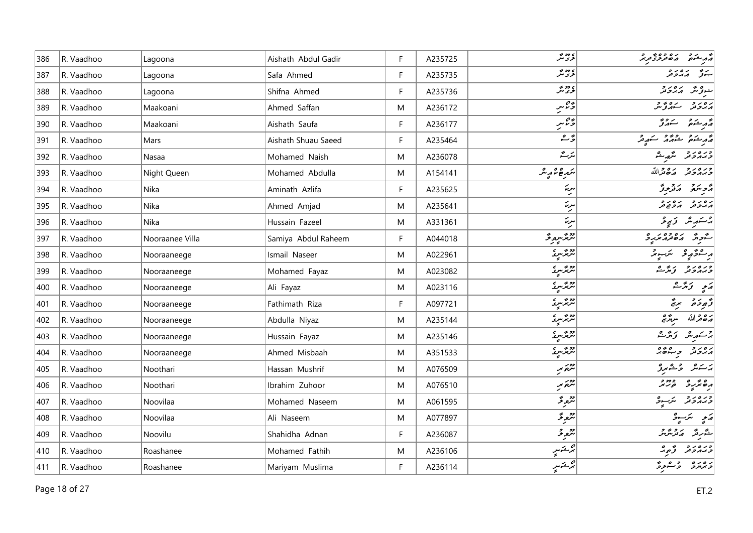| 386 | R. Vaadhoo | Lagoona         | Aishath Abdul Gadir | $\mathsf F$ | A235725 | ه دد بر<br>مور س               | ه در در ده وه پر در د<br>امکار شوی امان محمد در توسی |
|-----|------------|-----------------|---------------------|-------------|---------|--------------------------------|------------------------------------------------------|
| 387 | R. Vaadhoo | Lagoona         | Safa Ahmed          | F           | A235735 | ه دو پر<br>مور س               | پروس پره پرو                                         |
| 388 | R. Vaadhoo | Lagoona         | Shifna Ahmed        | F           | A235736 | ه دو پر<br>مور س               | شور شهر بره بر د                                     |
| 389 | R. Vaadhoo | Maakoani        | Ahmed Saffan        | M           | A236172 | و مړينې<br>ح                   | رەرد رەپرو                                           |
| 390 | R. Vaadhoo | Maakoani        | Aishath Saufa       | $\mathsf F$ | A236177 | و مړينه<br>ح                   | وكرمشكا المروم                                       |
| 391 | R. Vaadhoo | Mars            | Aishath Shuau Saeed | $\mathsf F$ | A235464 | ۇ شە                           | أو من و و و و د در و                                 |
| 392 | R. Vaadhoo | Nasaa           | Mohamed Naish       | M           | A236078 | ىئەت                           | ورەرو شهر                                            |
| 393 | R. Vaadhoo | Night Queen     | Mohamed Abdulla     | M           | A154141 | لتموع عمويته                   | وره رو ده دالله                                      |
| 394 | R. Vaadhoo | Nika            | Aminath Azlifa      | F           | A235625 | سربہَ                          | أأترجع أتأثر وتحرقر                                  |
| 395 | R. Vaadhoo | Nika            | Ahmed Amjad         | M           | A235641 | سریہ                           | ره رو ده رو<br>مدرس مروم تر                          |
| 396 | R. Vaadhoo | Nika            | Hussain Fazeel      | M           | A331361 | سرر                            | 2سىرىش ئۇيچى                                         |
| 397 | R. Vaadhoo | Nooraanee Villa | Samiya Abdul Raheem | F           | A044018 |                                | - د د ره ده د ه                                      |
| 398 | R. Vaadhoo | Nooraaneege     | Ismail Naseer       | M           | A022961 | دور میری<br>متر پر سر پر       | ر قۇرۇ سىيەتم                                        |
| 399 | R. Vaadhoo | Nooraaneege     | Mohamed Fayaz       | M           | A023082 | دو پر<br>سربر سرپر             | ورەرو رو.<br>دىرمەدىر ۋىژىنە                         |
| 400 | R. Vaadhoo | Nooraaneege     | Ali Fayaz           | M           | A023116 | دوره<br>مرتگر س <sub>و</sub> ر | پر بور دیگر                                          |
| 401 | R. Vaadhoo | Nooraaneege     | Fathimath Riza      | F           | A097721 | دو په په<br>سرچرسي             | ومجودة بريح                                          |
| 402 | R. Vaadhoo | Nooraaneege     | Abdulla Niyaz       | M           | A235144 | دو پر<br>مرتگرس                | أرة قرالله سرقرم                                     |
| 403 | R. Vaadhoo | Nooraaneege     | Hussain Fayaz       | M           | A235146 | دور سره<br>مرتجر سره           | برسكىرىش توكرشو                                      |
| 404 | R. Vaadhoo | Nooraaneege     | Ahmed Misbaah       | M           | A351533 | تر پژمېږي<br>سر پر سيږي        | ره د و ده و                                          |
| 405 | R. Vaadhoo | Noothari        | Hassan Mushrif      | M           | A076509 | اقتصمبر                        | يرىكس ئى شىرى                                        |
| 406 | R. Vaadhoo | Noothari        | Ibrahim Zuhoor      | M           | A076510 | يتزهج سر                       | وه پژرو ووړ                                          |
| 407 | R. Vaadhoo | Noovilaa        | Mohamed Naseem      | M           | A061595 | لترهر محر                      | כממכני יתי-פ                                         |
| 408 | R. Vaadhoo | Noovilaa        | Ali Naseem          | M           | A077897 | چرى<br>سرەپەتىر                | أەيجە الىكرىسوم                                      |
| 409 | R. Vaadhoo | Noovilu         | Shahidha Adnan      | F           | A236087 | لترعر فحر                      | شگرىد ھەر ئىگە                                       |
| 410 | R. Vaadhoo | Roashanee       | Mohamed Fathih      | M           | A236106 | تحریضہ پیر                     | وره رو و و                                           |
| 411 | R. Vaadhoo | Roashanee       | Mariyam Muslima     | F           | A236114 | ترڪسر                          | ويرده وصوفة                                          |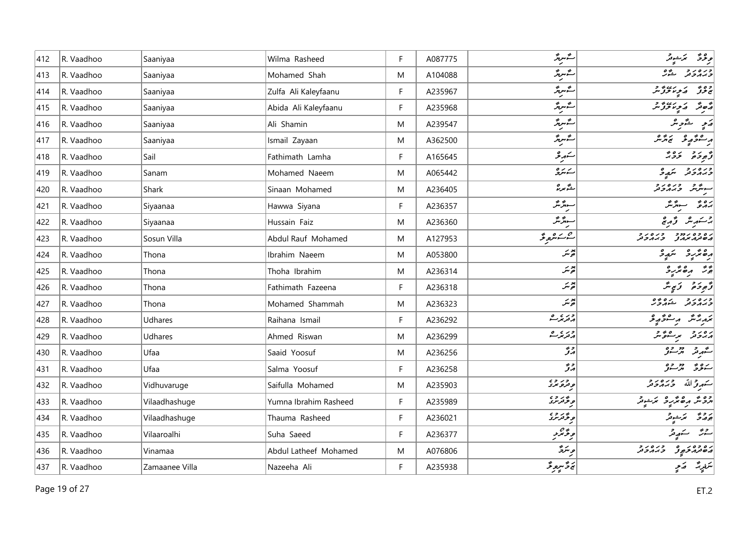| 412 | R. Vaadhoo | Saaniyaa       | Wilma Rasheed         | $\mathsf F$ | A087775 | سەمبەر                   | ورقوق الكرشوش                                                       |
|-----|------------|----------------|-----------------------|-------------|---------|--------------------------|---------------------------------------------------------------------|
| 413 | R. Vaadhoo | Saaniyaa       | Mohamed Shah          | M           | A104088 | سەمبرىگر                 | وره د و شره                                                         |
| 414 | R. Vaadhoo | Saaniyaa       | Zulfa Ali Kaleyfaanu  | F           | A235967 | سەمبرىز                  | ج <sub>م</sub> حود می میکود شر                                      |
| 415 | R. Vaadhoo | Saaniyaa       | Abida Ali Kaleyfaanu  | F           | A235968 | ئەسەر                    | ړه ته پېښودنه                                                       |
| 416 | R. Vaadhoo | Saaniyaa       | Ali Shamin            | M           | A239547 | سەمبر                    | أرمو الشمر ويتمر                                                    |
| 417 | R. Vaadhoo | Saaniyaa       | Ismail Zayaan         | M           | A362500 | سەمبرىگر                 | وستوري و محمد                                                       |
| 418 | R. Vaadhoo | Sail           | Fathimath Lamha       | F           | A165645 | سەرىۋ                    | وٌجودَ وَوَرَ                                                       |
| 419 | R. Vaadhoo | Sanam          | Mohamed Naeem         | M           | A065442 | سەمىرو                   | دره د د سمع د                                                       |
| 420 | R. Vaadhoo | Shark          | Sinaan Mohamed        | M           | A236405 | شەمەر                    | سوشر وره دو                                                         |
| 421 | R. Vaadhoo | Siyaanaa       | Hawwa Siyana          | $\mathsf F$ | A236357 | سەدىگە                   | رە ئەسىرتىگە<br>بەلەر ئەس                                           |
| 422 | R. Vaadhoo | Siyaanaa       | Hussain Faiz          | M           | A236360 | سەدىرىگە                 | برسكهر محمدج                                                        |
| 423 | R. Vaadhoo | Sosun Villa    | Abdul Rauf Mohamed    | M           | A127953 | 2. سەن <sub>ى</sub> رىگە | و ره ر د<br>تر <i>پر</i> وتر<br>ر ٥ ر ٥ ر دو و<br>۹ ره تو ۸ بو ۸ تو |
| 424 | R. Vaadhoo | Thona          | Ibrahim Naeem         | M           | A053800 | بر<br>موسر               | رەترىر ئىر                                                          |
| 425 | R. Vaadhoo | Thona          | Thoha Ibrahim         | M           | A236314 | لحرير                    | $rac{1}{2}$                                                         |
| 426 | R. Vaadhoo | Thona          | Fathimath Fazeena     | F           | A236318 | مۇسر                     | قەدە زىپ                                                            |
| 427 | R. Vaadhoo | Thona          | Mohamed Shammah       | M           | A236323 | ەيتر                     | شەر ۋە<br>و ر ه ر د<br><del>و</del> بر پر <del>و</del> ر            |
| 428 | R. Vaadhoo | <b>Udhares</b> | Raihana Ismail        | F           | A236292 | د ر ، م<br>مرمرسه        | بَدَرِيْسٌ رِ عُنُّورٍ وَ                                           |
| 429 | R. Vaadhoo | Udhares        | Ahmed Riswan          | M           | A236299 | جەرى ھ<br>مەنىرىك        | رەرو برىمۇس                                                         |
| 430 | R. Vaadhoo | Ufaa           | Saaid Yoosuf          | M           | A236256 | پرمخ                     | سەمەلىر قارىقى قا                                                   |
| 431 | R. Vaadhoo | Ufaa           | Salma Yoosuf          | F           | A236258 | دعج                      | سەۋىۋە بۇرىيۇ                                                       |
| 432 | R. Vaadhoo | Vidhuvaruge    | Saifulla Mohamed      | M           | A235903 | <br>  مومرہ بر دی        | كورتر الله وبرورور                                                  |
| 433 | R. Vaadhoo | Vilaadhashuge  | Yumna Ibrahim Rasheed | F           | A235989 | و د څور د ،              |                                                                     |
| 434 | R. Vaadhoo | Vilaadhashuge  | Thauma Rasheed        | F           | A236021 | و د څور د ،              | أبروه المرتشوش                                                      |
| 435 | R. Vaadhoo | Vilaaroalhi    | Suha Saeed            | F           | A236377 | وۇترىر                   |                                                                     |
| 436 | R. Vaadhoo | Vinamaa        | Abdul Latheef Mohamed | M           | A076806 | عريتمر                   | و رە ر د<br>تر پر تر تر<br>ر ه د ه ر<br>ماهوم څېړن                  |
| 437 | R. Vaadhoo | Zamaanee Villa | Nazeeha Ali           | F           | A235938 | ئە ئەسرە ئە              | سَغِرِ بِسَ = صَعِي                                                 |
|     |            |                |                       |             |         |                          |                                                                     |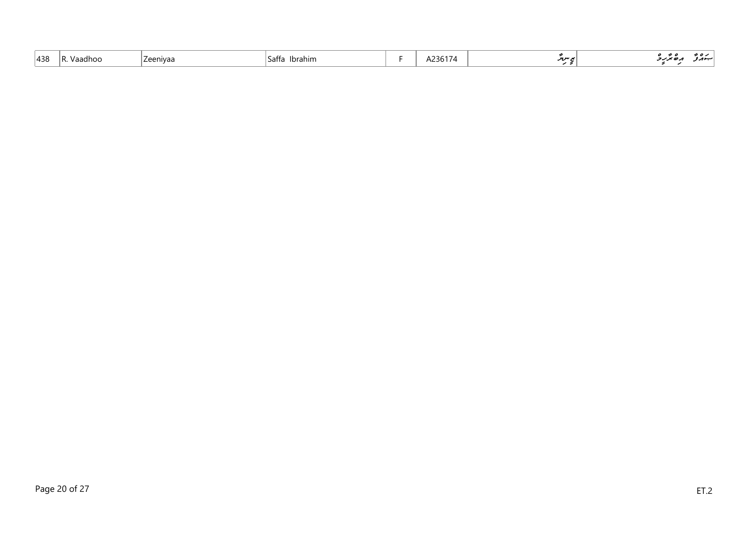| 438 | .<br>adhoc<br>. | eenivad | -lbrahim<br>Satta |  | $\sim$ $\sim$<br>`<br>ノマト<br>$^{\prime}$<br>,,, | سے سومر | . .<br>.<br>سيور |
|-----|-----------------|---------|-------------------|--|-------------------------------------------------|---------|------------------|
|-----|-----------------|---------|-------------------|--|-------------------------------------------------|---------|------------------|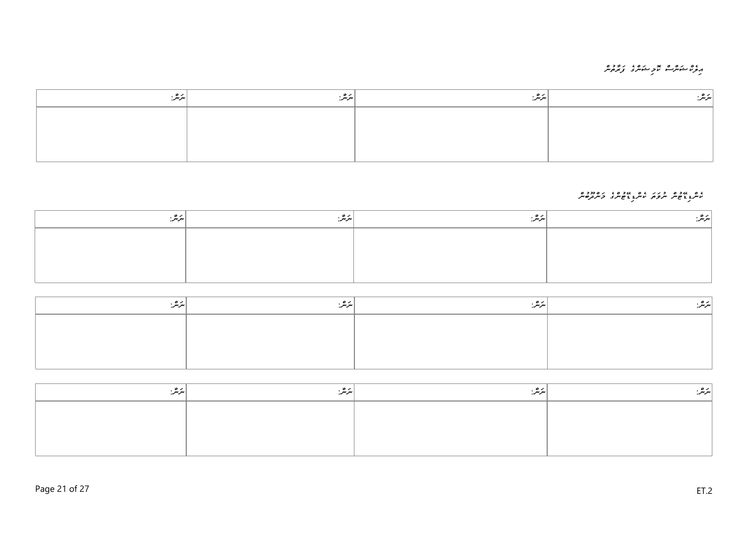## *w7qAn8m? sCw7mRo>u; wEw7mRw;sBo<*

| ' مرمر | 'يئرىثر: |
|--------|----------|
|        |          |
|        |          |
|        |          |

## *w7q9r@w7m> sCw7qHtFoFw7s; mAm=q7 w7qHtFoFw7s;*

| ىر تە | $\mathcal{O} \times$<br>$\sim$ | $\sim$<br>. . | لترنثر |
|-------|--------------------------------|---------------|--------|
|       |                                |               |        |
|       |                                |               |        |
|       |                                |               |        |

| يره | $^{\circ}$ | $\frac{2}{n}$ | $^{\circ}$<br>سرسر. |
|-----|------------|---------------|---------------------|
|     |            |               |                     |
|     |            |               |                     |
|     |            |               |                     |

| ' ئىرتىر: | سر سر |  |
|-----------|-------|--|
|           |       |  |
|           |       |  |
|           |       |  |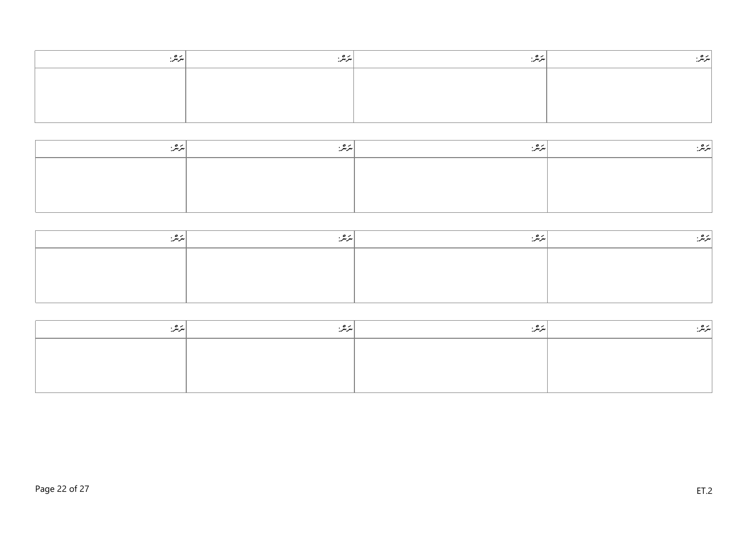| يره. | ο. | ا ير ه |  |
|------|----|--------|--|
|      |    |        |  |
|      |    |        |  |
|      |    |        |  |

| <sup>.</sup> سرسر. |  |
|--------------------|--|
|                    |  |
|                    |  |
|                    |  |

| ىئرىتر. | $\sim$ | ا بر هه. | لىرىش |
|---------|--------|----------|-------|
|         |        |          |       |
|         |        |          |       |
|         |        |          |       |

| 。<br>مرس. | $\overline{\phantom{a}}$<br>مر مىر | يتريثر |
|-----------|------------------------------------|--------|
|           |                                    |        |
|           |                                    |        |
|           |                                    |        |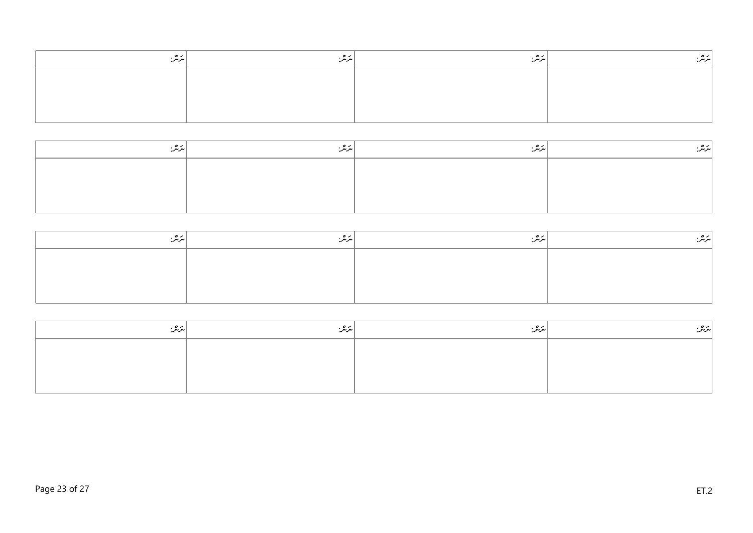| ير هو . | $\overline{\phantom{a}}$ | يرمر | اير هنه. |
|---------|--------------------------|------|----------|
|         |                          |      |          |
|         |                          |      |          |
|         |                          |      |          |

| ئىرتىر: | $\sim$<br>ا سرسر . | يئرمثر | o . |
|---------|--------------------|--------|-----|
|         |                    |        |     |
|         |                    |        |     |
|         |                    |        |     |

| 'تترنثر: | 。<br>,,,, |  |
|----------|-----------|--|
|          |           |  |
|          |           |  |
|          |           |  |

|  | . ه |
|--|-----|
|  |     |
|  |     |
|  |     |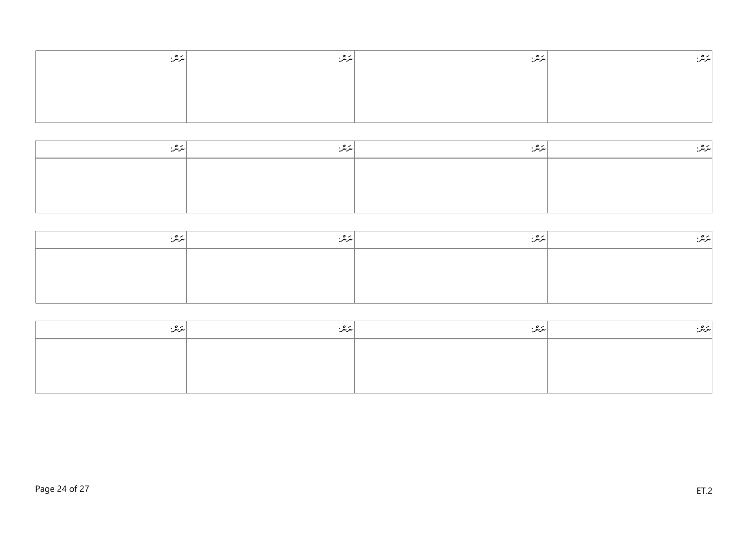| ير هو . | $\overline{\phantom{a}}$ | يرمر | اير هنه. |
|---------|--------------------------|------|----------|
|         |                          |      |          |
|         |                          |      |          |
|         |                          |      |          |

| ىر تىر: | $\circ$ $\sim$<br>" سرسر . | يبرحه | o . |
|---------|----------------------------|-------|-----|
|         |                            |       |     |
|         |                            |       |     |
|         |                            |       |     |

| الترنثر: | ' مرتكز: | الترنثر: | .,<br>سرسر. |
|----------|----------|----------|-------------|
|          |          |          |             |
|          |          |          |             |
|          |          |          |             |

|  | . ه |
|--|-----|
|  |     |
|  |     |
|  |     |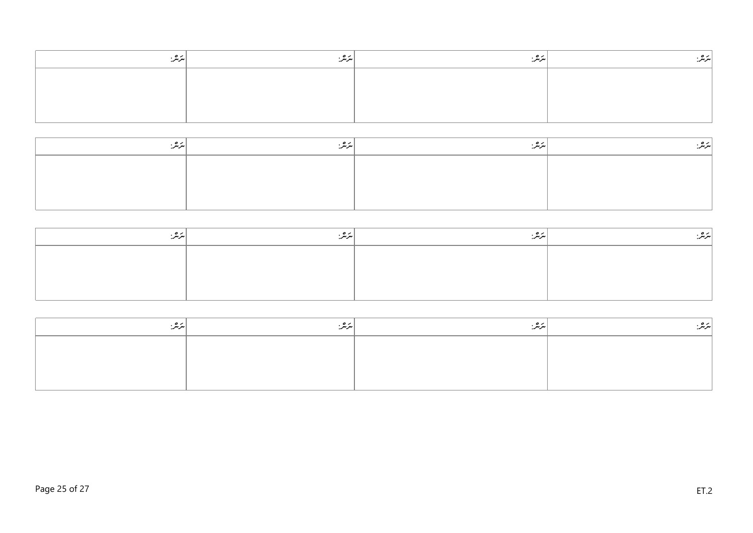| $\cdot$ | ο. | $\frac{\circ}{\cdot}$ | $\sim$<br>سرسر |
|---------|----|-----------------------|----------------|
|         |    |                       |                |
|         |    |                       |                |
|         |    |                       |                |

| ايرعر: | ر ه<br>. . |  |
|--------|------------|--|
|        |            |  |
|        |            |  |
|        |            |  |

| بر ه | 。 | $\sim$<br>َ سومس |  |
|------|---|------------------|--|
|      |   |                  |  |
|      |   |                  |  |
|      |   |                  |  |

| 。<br>. س | ىرىىر |  |
|----------|-------|--|
|          |       |  |
|          |       |  |
|          |       |  |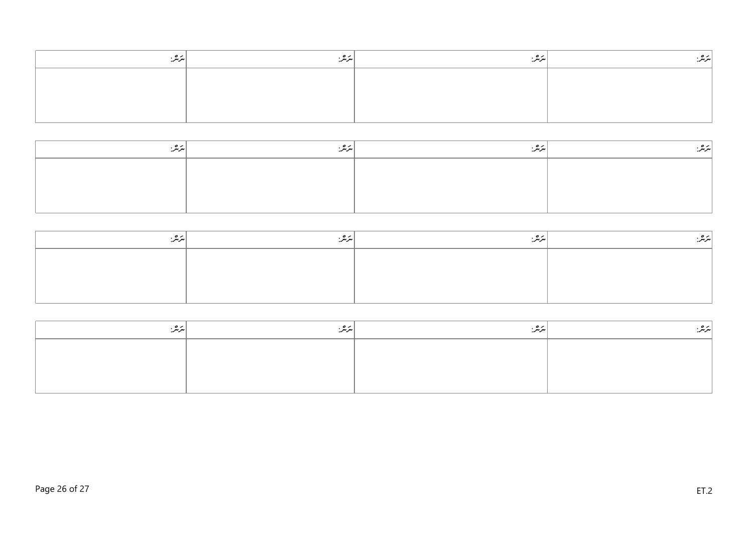| ير هو . | $\overline{\phantom{a}}$ | يرمر | لتزمثن |
|---------|--------------------------|------|--------|
|         |                          |      |        |
|         |                          |      |        |
|         |                          |      |        |

| ئىرتىر: | $\sim$<br>ا سرسر . | يئرمثر | o . |
|---------|--------------------|--------|-----|
|         |                    |        |     |
|         |                    |        |     |
|         |                    |        |     |

| انترنثر: | ر ه |  |
|----------|-----|--|
|          |     |  |
|          |     |  |
|          |     |  |

|  | . ه |
|--|-----|
|  |     |
|  |     |
|  |     |